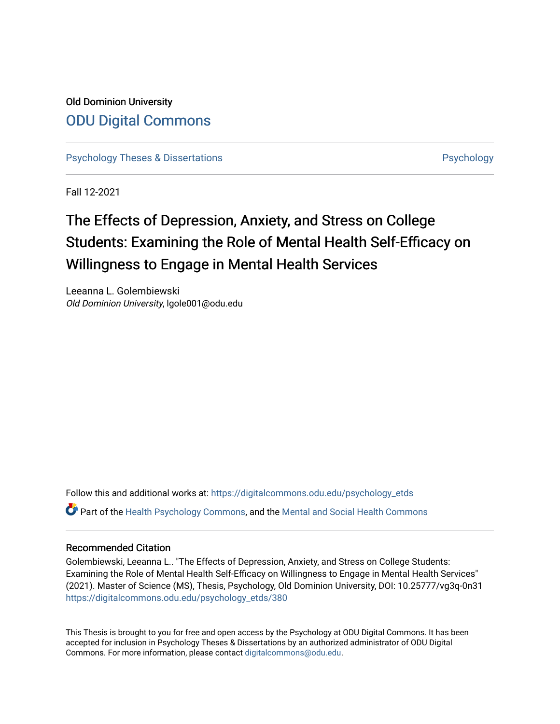# Old Dominion University [ODU Digital Commons](https://digitalcommons.odu.edu/)

[Psychology Theses & Dissertations](https://digitalcommons.odu.edu/psychology_etds) **Psychology** [Psychology](https://digitalcommons.odu.edu/psychology) **Psychology** 

Fall 12-2021

# The Effects of Depression, Anxiety, and Stress on College Students: Examining the Role of Mental Health Self-Efficacy on Willingness to Engage in Mental Health Services

Leeanna L. Golembiewski Old Dominion University, lgole001@odu.edu

Follow this and additional works at: [https://digitalcommons.odu.edu/psychology\\_etds](https://digitalcommons.odu.edu/psychology_etds?utm_source=digitalcommons.odu.edu%2Fpsychology_etds%2F380&utm_medium=PDF&utm_campaign=PDFCoverPages) Part of the [Health Psychology Commons](http://network.bepress.com/hgg/discipline/411?utm_source=digitalcommons.odu.edu%2Fpsychology_etds%2F380&utm_medium=PDF&utm_campaign=PDFCoverPages), and the [Mental and Social Health Commons](http://network.bepress.com/hgg/discipline/709?utm_source=digitalcommons.odu.edu%2Fpsychology_etds%2F380&utm_medium=PDF&utm_campaign=PDFCoverPages) 

### Recommended Citation

Golembiewski, Leeanna L.. "The Effects of Depression, Anxiety, and Stress on College Students: Examining the Role of Mental Health Self-Efficacy on Willingness to Engage in Mental Health Services" (2021). Master of Science (MS), Thesis, Psychology, Old Dominion University, DOI: 10.25777/vg3q-0n31 [https://digitalcommons.odu.edu/psychology\\_etds/380](https://digitalcommons.odu.edu/psychology_etds/380?utm_source=digitalcommons.odu.edu%2Fpsychology_etds%2F380&utm_medium=PDF&utm_campaign=PDFCoverPages)

This Thesis is brought to you for free and open access by the Psychology at ODU Digital Commons. It has been accepted for inclusion in Psychology Theses & Dissertations by an authorized administrator of ODU Digital Commons. For more information, please contact [digitalcommons@odu.edu](mailto:digitalcommons@odu.edu).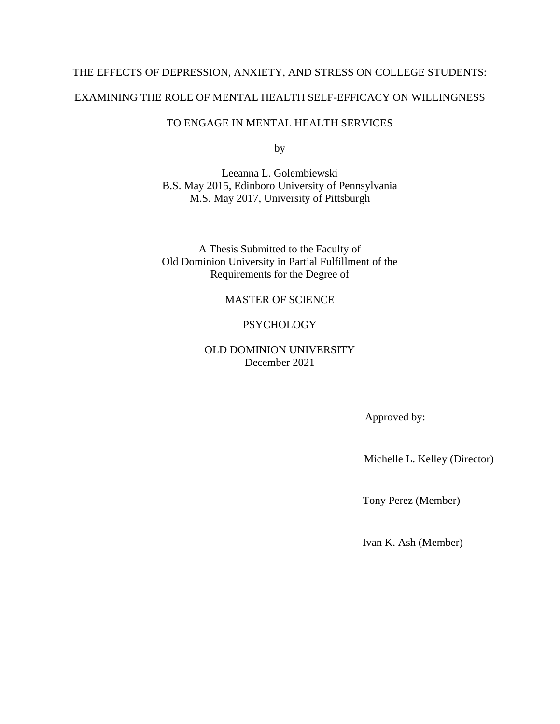# THE EFFECTS OF DEPRESSION, ANXIETY, AND STRESS ON COLLEGE STUDENTS: EXAMINING THE ROLE OF MENTAL HEALTH SELF-EFFICACY ON WILLINGNESS

# TO ENGAGE IN MENTAL HEALTH SERVICES

by

Leeanna L. Golembiewski B.S. May 2015, Edinboro University of Pennsylvania M.S. May 2017, University of Pittsburgh

A Thesis Submitted to the Faculty of Old Dominion University in Partial Fulfillment of the Requirements for the Degree of

# MASTER OF SCIENCE

# **PSYCHOLOGY**

# OLD DOMINION UNIVERSITY December 2021

Approved by:

Michelle L. Kelley (Director)

Tony Perez (Member)

Ivan K. Ash (Member)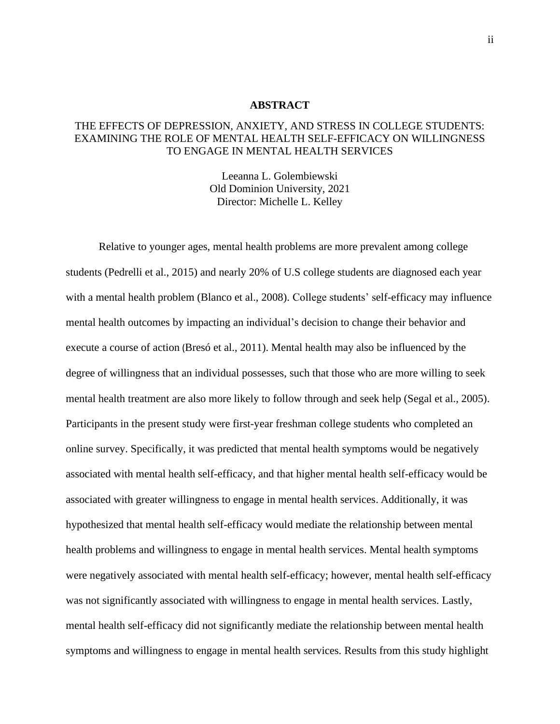#### **ABSTRACT**

# THE EFFECTS OF DEPRESSION, ANXIETY, AND STRESS IN COLLEGE STUDENTS: EXAMINING THE ROLE OF MENTAL HEALTH SELF-EFFICACY ON WILLINGNESS TO ENGAGE IN MENTAL HEALTH SERVICES

Leeanna L. Golembiewski Old Dominion University, 2021 Director: Michelle L. Kelley

Relative to younger ages, mental health problems are more prevalent among college students (Pedrelli et al., 2015) and nearly 20% of U.S college students are diagnosed each year with a mental health problem (Blanco et al., 2008). College students' self-efficacy may influence mental health outcomes by impacting an individual's decision to change their behavior and execute a course of action (Bresó et al., 2011). Mental health may also be influenced by the degree of willingness that an individual possesses, such that those who are more willing to seek mental health treatment are also more likely to follow through and seek help (Segal et al., 2005). Participants in the present study were first-year freshman college students who completed an online survey. Specifically, it was predicted that mental health symptoms would be negatively associated with mental health self-efficacy, and that higher mental health self-efficacy would be associated with greater willingness to engage in mental health services. Additionally, it was hypothesized that mental health self-efficacy would mediate the relationship between mental health problems and willingness to engage in mental health services. Mental health symptoms were negatively associated with mental health self-efficacy; however, mental health self-efficacy was not significantly associated with willingness to engage in mental health services. Lastly, mental health self-efficacy did not significantly mediate the relationship between mental health symptoms and willingness to engage in mental health services. Results from this study highlight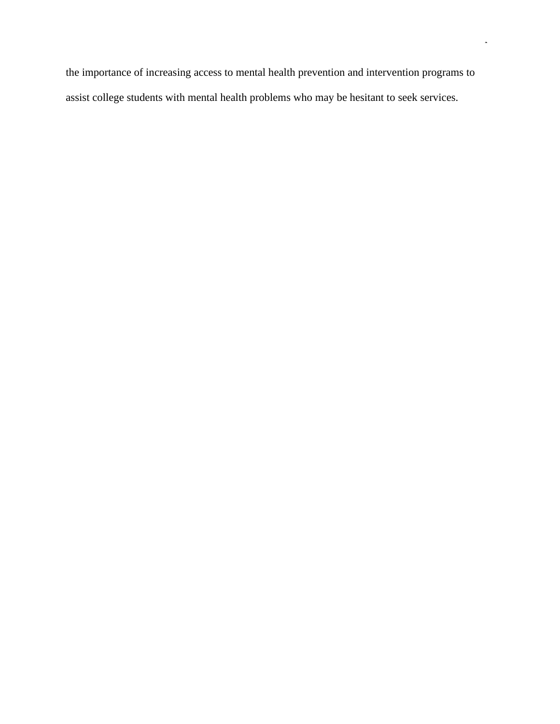the importance of increasing access to mental health prevention and intervention programs to assist college students with mental health problems who may be hesitant to seek services.

iii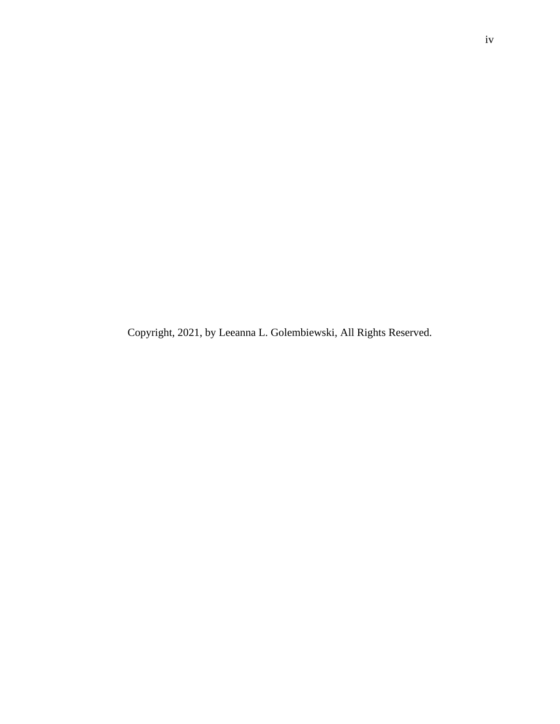Copyright, 2021, by Leeanna L. Golembiewski, All Rights Reserved.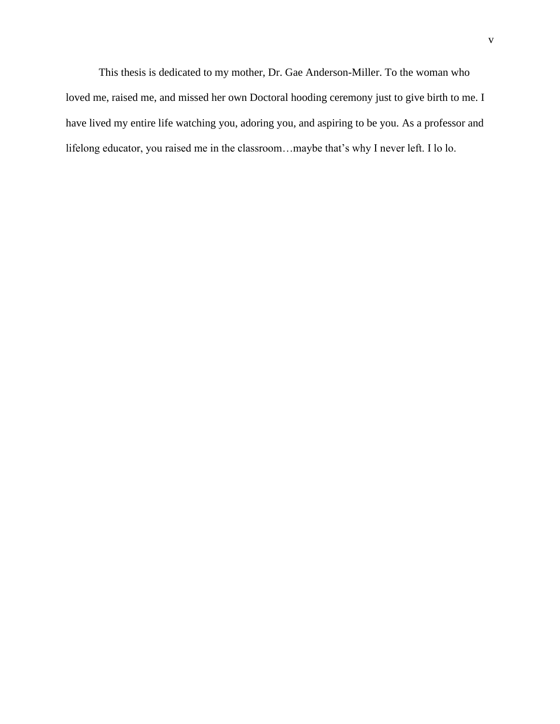This thesis is dedicated to my mother, Dr. Gae Anderson-Miller. To the woman who loved me, raised me, and missed her own Doctoral hooding ceremony just to give birth to me. I have lived my entire life watching you, adoring you, and aspiring to be you. As a professor and lifelong educator, you raised me in the classroom…maybe that's why I never left. I lo lo.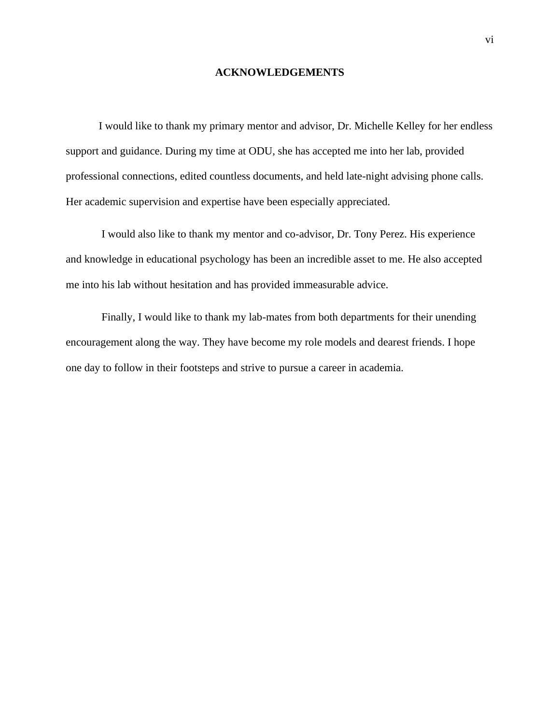#### **ACKNOWLEDGEMENTS**

I would like to thank my primary mentor and advisor, Dr. Michelle Kelley for her endless support and guidance. During my time at ODU, she has accepted me into her lab, provided professional connections, edited countless documents, and held late-night advising phone calls. Her academic supervision and expertise have been especially appreciated.

I would also like to thank my mentor and co-advisor, Dr. Tony Perez. His experience and knowledge in educational psychology has been an incredible asset to me. He also accepted me into his lab without hesitation and has provided immeasurable advice.

Finally, I would like to thank my lab-mates from both departments for their unending encouragement along the way. They have become my role models and dearest friends. I hope one day to follow in their footsteps and strive to pursue a career in academia.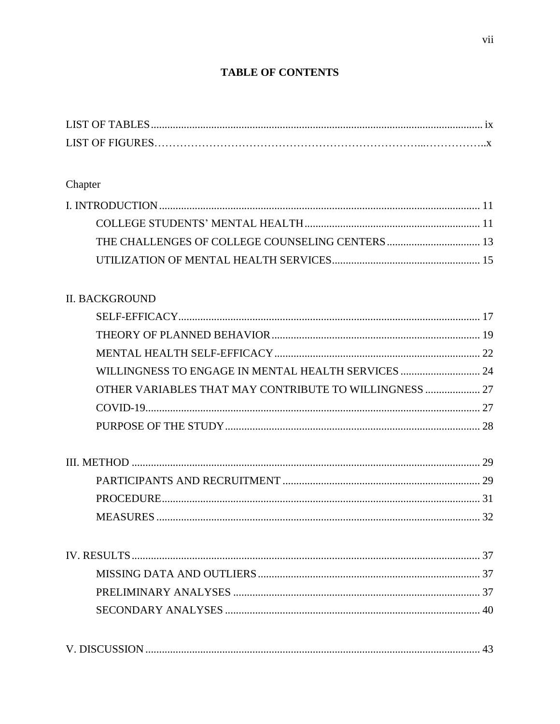# **TABLE OF CONTENTS**

# Chapter

# **II. BACKGROUND**

| WILLINGNESS TO ENGAGE IN MENTAL HEALTH SERVICES  24    |  |
|--------------------------------------------------------|--|
| OTHER VARIABLES THAT MAY CONTRIBUTE TO WILLINGNESS  27 |  |
|                                                        |  |
|                                                        |  |
|                                                        |  |

|--|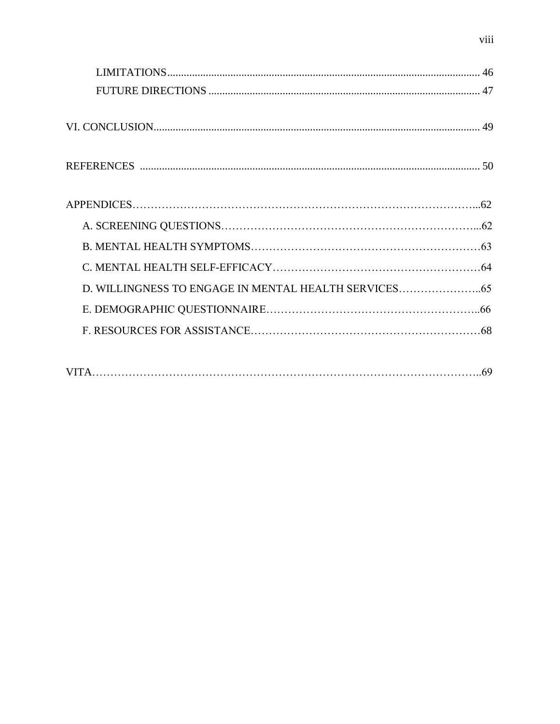| D. WILLINGNESS TO ENGAGE IN MENTAL HEALTH SERVICES |  |
|----------------------------------------------------|--|
|                                                    |  |
|                                                    |  |
|                                                    |  |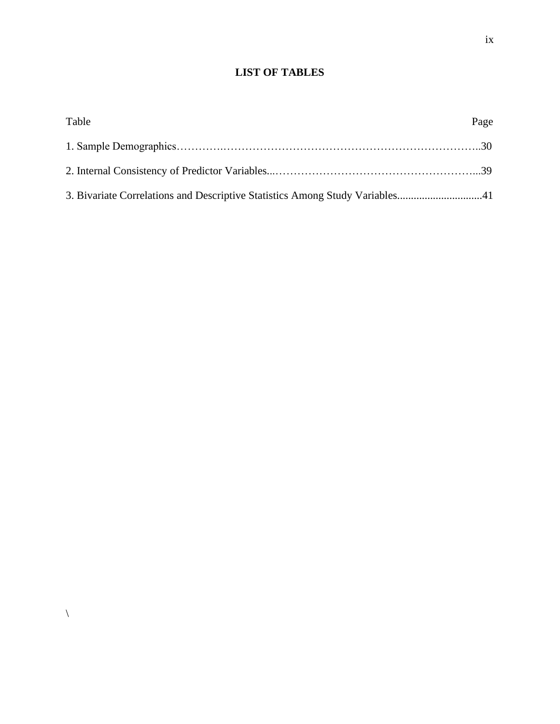# **LIST OF TABLES**

<span id="page-9-0"></span>

| Table                                                                        | Page |
|------------------------------------------------------------------------------|------|
|                                                                              |      |
|                                                                              |      |
| 3. Bivariate Correlations and Descriptive Statistics Among Study Variables41 |      |

 $\backslash$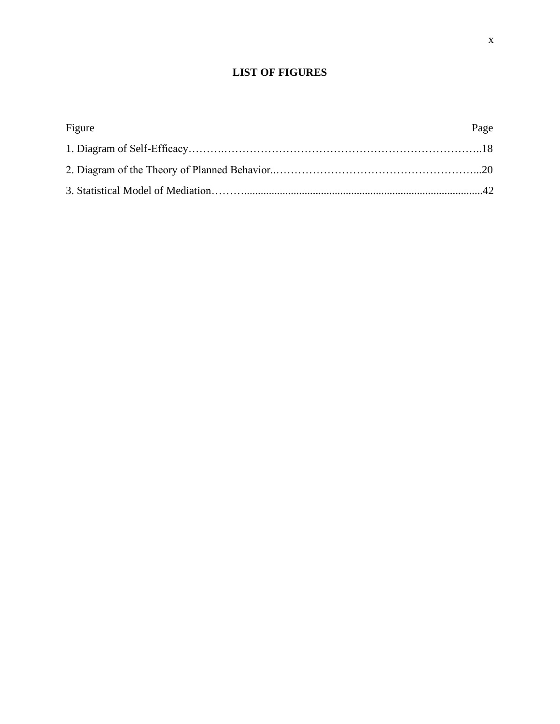# **LIST OF FIGURES**

| Figure | Page |
|--------|------|
|        |      |
|        |      |
|        |      |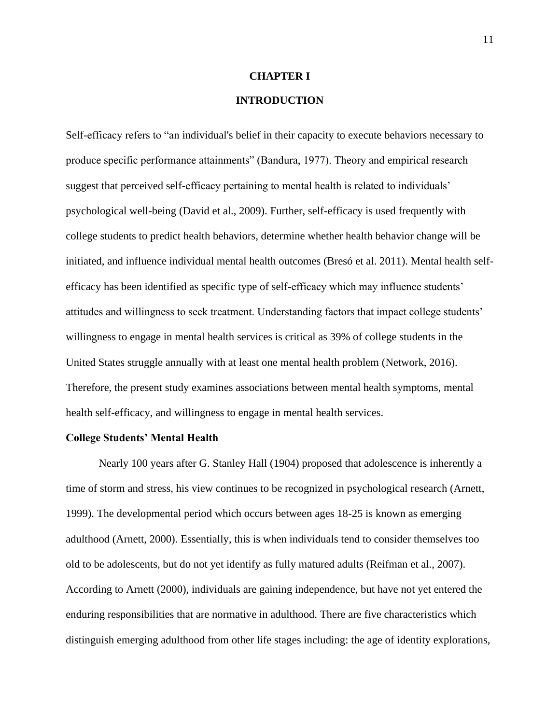#### **CHAPTER I**

### **INTRODUCTION**

<span id="page-11-0"></span>Self-efficacy refers to "an individual's belief in their capacity to execute behaviors necessary to produce specific performance attainments" (Bandura, 1977). Theory and empirical research suggest that perceived self-efficacy pertaining to mental health is related to individuals' psychological well-being (David et al., 2009). Further, self-efficacy is used frequently with college students to predict health behaviors, determine whether health behavior change will be initiated, and influence individual mental health outcomes (Bresó et al. 2011). Mental health selfefficacy has been identified as specific type of self-efficacy which may influence students' attitudes and willingness to seek treatment. Understanding factors that impact college students' willingness to engage in mental health services is critical as 39% of college students in the United States struggle annually with at least one mental health problem (Network, 2016). Therefore, the present study examines associations between mental health symptoms, mental health self-efficacy, and willingness to engage in mental health services.

#### <span id="page-11-1"></span>**College Students' Mental Health**

Nearly 100 years after G. Stanley Hall (1904) proposed that adolescence is inherently a time of storm and stress, his view continues to be recognized in psychological research (Arnett, 1999). The developmental period which occurs between ages 18-25 is known as emerging adulthood (Arnett, 2000). Essentially, this is when individuals tend to consider themselves too old to be adolescents, but do not yet identify as fully matured adults (Reifman et al., 2007). According to Arnett (2000), individuals are gaining independence, but have not yet entered the enduring responsibilities that are normative in adulthood. There are five characteristics which distinguish emerging adulthood from other life stages including: the age of identity explorations,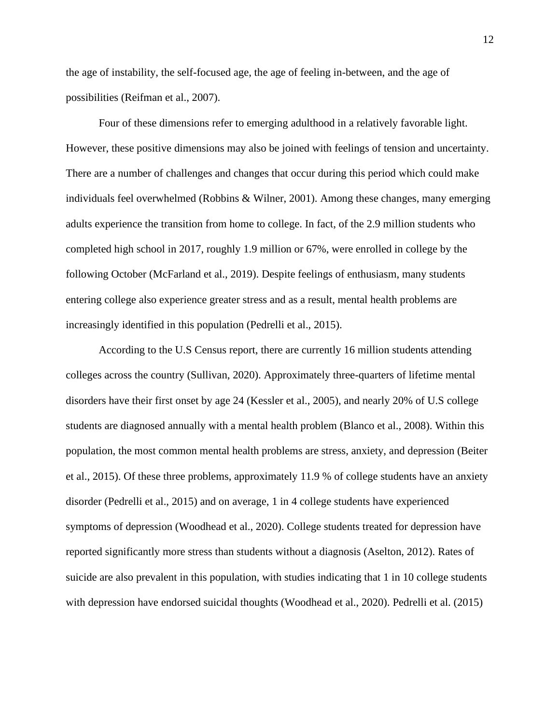the age of instability, the self-focused age, the age of feeling in-between, and the age of possibilities (Reifman et al., 2007).

Four of these dimensions refer to emerging adulthood in a relatively favorable light. However, these positive dimensions may also be joined with feelings of tension and uncertainty. There are a number of challenges and changes that occur during this period which could make individuals feel overwhelmed (Robbins & Wilner, 2001). Among these changes, many emerging adults experience the transition from home to college. In fact, of the 2.9 million students who completed high school in 2017, roughly 1.9 million or 67%, were enrolled in college by the following October (McFarland et al., 2019). Despite feelings of enthusiasm, many students entering college also experience greater stress and as a result, mental health problems are increasingly identified in this population (Pedrelli et al., 2015).

According to the U.S Census report, there are currently 16 million students attending colleges across the country (Sullivan, 2020). Approximately three-quarters of lifetime mental disorders have their first onset by age 24 (Kessler et al., 2005), and nearly 20% of U.S college students are diagnosed annually with a mental health problem (Blanco et al., 2008). Within this population, the most common mental health problems are stress, anxiety, and depression (Beiter et al., 2015). Of these three problems, approximately 11.9 % of college students have an anxiety disorder (Pedrelli et al., 2015) and on average, 1 in 4 college students have experienced symptoms of depression (Woodhead et al., 2020). College students treated for depression have reported significantly more stress than students without a diagnosis (Aselton, 2012). Rates of suicide are also prevalent in this population, with studies indicating that 1 in 10 college students with depression have endorsed suicidal thoughts (Woodhead et al., 2020). Pedrelli et al. (2015)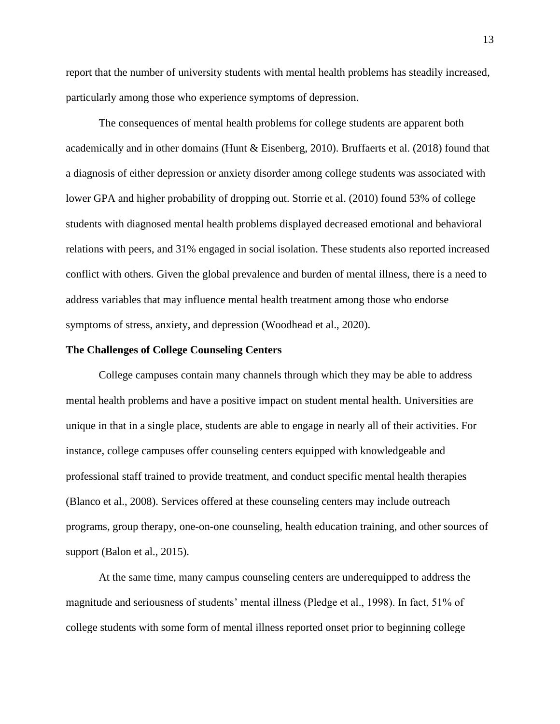report that the number of university students with mental health problems has steadily increased, particularly among those who experience symptoms of depression.

The consequences of mental health problems for college students are apparent both academically and in other domains (Hunt & Eisenberg, 2010). Bruffaerts et al. (2018) found that a diagnosis of either depression or anxiety disorder among college students was associated with lower GPA and higher probability of dropping out. Storrie et al. (2010) found 53% of college students with diagnosed mental health problems displayed decreased emotional and behavioral relations with peers, and 31% engaged in social isolation. These students also reported increased conflict with others. Given the global prevalence and burden of mental illness, there is a need to address variables that may influence mental health treatment among those who endorse symptoms of stress, anxiety, and depression (Woodhead et al., 2020).

#### <span id="page-13-0"></span>**The Challenges of College Counseling Centers**

College campuses contain many channels through which they may be able to address mental health problems and have a positive impact on student mental health. Universities are unique in that in a single place, students are able to engage in nearly all of their activities. For instance, college campuses offer counseling centers equipped with knowledgeable and professional staff trained to provide treatment, and conduct specific mental health therapies (Blanco et al., 2008). Services offered at these counseling centers may include outreach programs, group therapy, one-on-one counseling, health education training, and other sources of support (Balon et al., 2015).

At the same time, many campus counseling centers are underequipped to address the magnitude and seriousness of students' mental illness (Pledge et al., 1998). In fact, 51% of college students with some form of mental illness reported onset prior to beginning college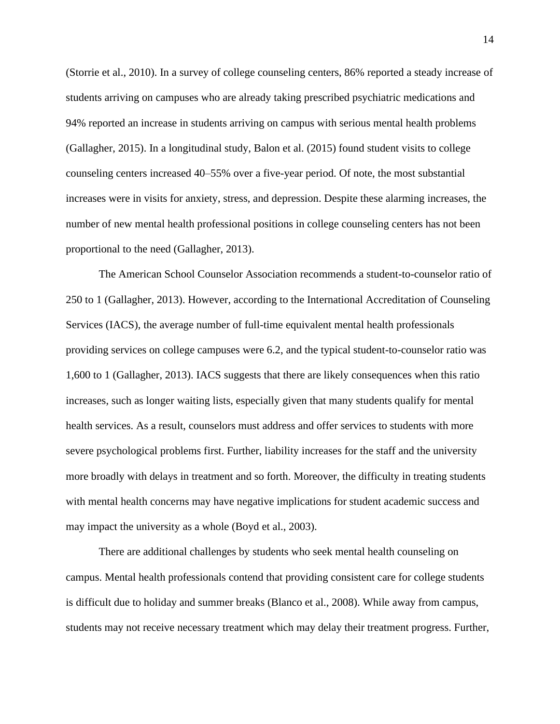(Storrie et al., 2010). In a survey of college counseling centers, 86% reported a steady increase of students arriving on campuses who are already taking prescribed psychiatric medications and 94% reported an increase in students arriving on campus with serious mental health problems (Gallagher, 2015). In a longitudinal study, Balon et al. (2015) found student visits to college counseling centers increased 40–55% over a five-year period. Of note, the most substantial increases were in visits for anxiety, stress, and depression. Despite these alarming increases, the number of new mental health professional positions in college counseling centers has not been proportional to the need (Gallagher, 2013).

The American School Counselor Association recommends a student-to-counselor ratio of 250 to 1 (Gallagher, 2013). However, according to the International Accreditation of Counseling Services (IACS), the average number of full-time equivalent mental health professionals providing services on college campuses were 6.2, and the typical student-to-counselor ratio was 1,600 to 1 (Gallagher, 2013). IACS suggests that there are likely consequences when this ratio increases, such as longer waiting lists, especially given that many students qualify for mental health services. As a result, counselors must address and offer services to students with more severe psychological problems first. Further, liability increases for the staff and the university more broadly with delays in treatment and so forth. Moreover, the difficulty in treating students with mental health concerns may have negative implications for student academic success and may impact the university as a whole (Boyd et al., 2003).

There are additional challenges by students who seek mental health counseling on campus. Mental health professionals contend that providing consistent care for college students is difficult due to holiday and summer breaks (Blanco et al., 2008). While away from campus, students may not receive necessary treatment which may delay their treatment progress. Further,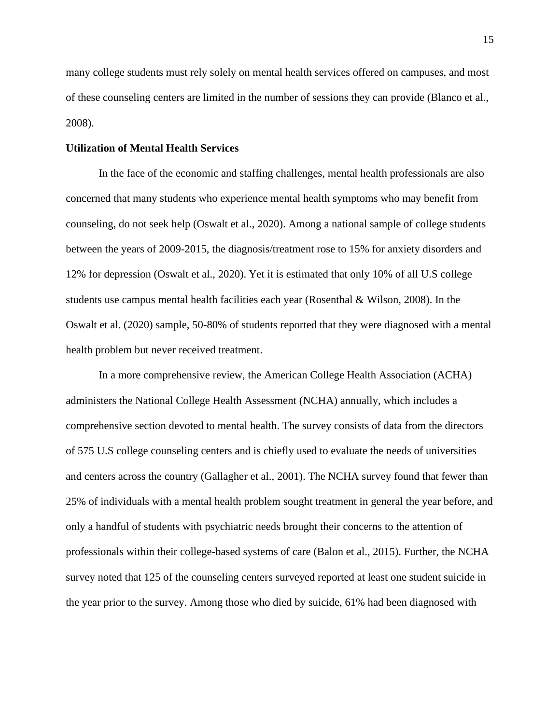many college students must rely solely on mental health services offered on campuses, and most of these counseling centers are limited in the number of sessions they can provide (Blanco et al., 2008).

#### <span id="page-15-0"></span>**Utilization of Mental Health Services**

In the face of the economic and staffing challenges, mental health professionals are also concerned that many students who experience mental health symptoms who may benefit from counseling, do not seek help (Oswalt et al., 2020). Among a national sample of college students between the years of 2009-2015, the diagnosis/treatment rose to 15% for anxiety disorders and 12% for depression (Oswalt et al., 2020). Yet it is estimated that only 10% of all U.S college students use campus mental health facilities each year (Rosenthal & Wilson, 2008). In the Oswalt et al. (2020) sample, 50-80% of students reported that they were diagnosed with a mental health problem but never received treatment.

In a more comprehensive review, the American College Health Association (ACHA) administers the National College Health Assessment (NCHA) annually, which includes a comprehensive section devoted to mental health. The survey consists of data from the directors of 575 U.S college counseling centers and is chiefly used to evaluate the needs of universities and centers across the country (Gallagher et al., 2001). The NCHA survey found that fewer than 25% of individuals with a mental health problem sought treatment in general the year before, and only a handful of students with psychiatric needs brought their concerns to the attention of professionals within their college-based systems of care (Balon et al., 2015). Further, the NCHA survey noted that 125 of the counseling centers surveyed reported at least one student suicide in the year prior to the survey. Among those who died by suicide, 61% had been diagnosed with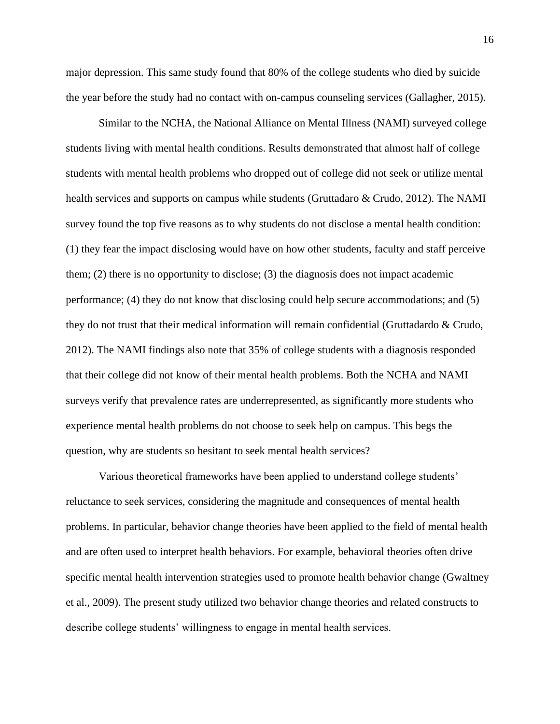major depression. This same study found that 80% of the college students who died by suicide the year before the study had no contact with on-campus counseling services (Gallagher, 2015).

Similar to the NCHA, the National Alliance on Mental Illness (NAMI) surveyed college students living with mental health conditions. Results demonstrated that almost half of college students with mental health problems who dropped out of college did not seek or utilize mental health services and supports on campus while students (Gruttadaro & Crudo, 2012). The NAMI survey found the top five reasons as to why students do not disclose a mental health condition: (1) they fear the impact disclosing would have on how other students, faculty and staff perceive them; (2) there is no opportunity to disclose; (3) the diagnosis does not impact academic performance; (4) they do not know that disclosing could help secure accommodations; and (5) they do not trust that their medical information will remain confidential (Gruttadardo & Crudo, 2012). The NAMI findings also note that 35% of college students with a diagnosis responded that their college did not know of their mental health problems. Both the NCHA and NAMI surveys verify that prevalence rates are underrepresented, as significantly more students who experience mental health problems do not choose to seek help on campus. This begs the question, why are students so hesitant to seek mental health services?

Various theoretical frameworks have been applied to understand college students' reluctance to seek services, considering the magnitude and consequences of mental health problems. In particular, behavior change theories have been applied to the field of mental health and are often used to interpret health behaviors. For example, behavioral theories often drive specific mental health intervention strategies used to promote health behavior change (Gwaltney et al., 2009). The present study utilized two behavior change theories and related constructs to describe college students' willingness to engage in mental health services.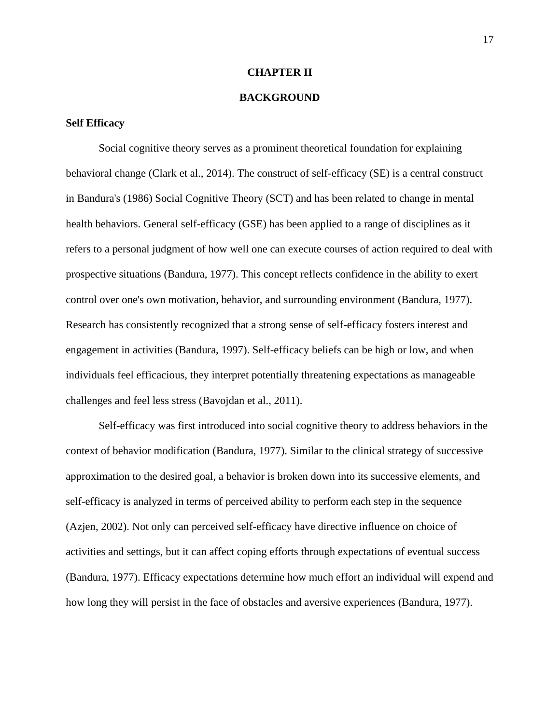#### **CHAPTER II**

#### **BACKGROUND**

#### <span id="page-17-0"></span>**Self Efficacy**

Social cognitive theory serves as a prominent theoretical foundation for explaining behavioral change (Clark et al., 2014). The construct of self-efficacy (SE) is a central construct in Bandura's (1986) Social Cognitive Theory (SCT) and has been related to change in mental health behaviors. General self-efficacy (GSE) has been applied to a range of disciplines as it refers to a personal judgment of how well one can execute courses of action required to deal with prospective situations (Bandura, 1977). This concept reflects confidence in the ability to exert control over one's own motivation, behavior, and surrounding environment (Bandura, 1977). Research has consistently recognized that a strong sense of self-efficacy fosters interest and engagement in activities (Bandura, 1997). Self-efficacy beliefs can be high or low, and when individuals feel efficacious, they interpret potentially threatening expectations as manageable challenges and feel less stress (Bavojdan et al., 2011).

Self-efficacy was first introduced into social cognitive theory to address behaviors in the context of behavior modification (Bandura, 1977). Similar to the clinical strategy of successive approximation to the desired goal, a behavior is broken down into its successive elements, and self-efficacy is analyzed in terms of perceived ability to perform each step in the sequence (Azjen, 2002). Not only can perceived self-efficacy have directive influence on choice of activities and settings, but it can affect coping efforts through expectations of eventual success (Bandura, 1977). Efficacy expectations determine how much effort an individual will expend and how long they will persist in the face of obstacles and aversive experiences (Bandura, 1977).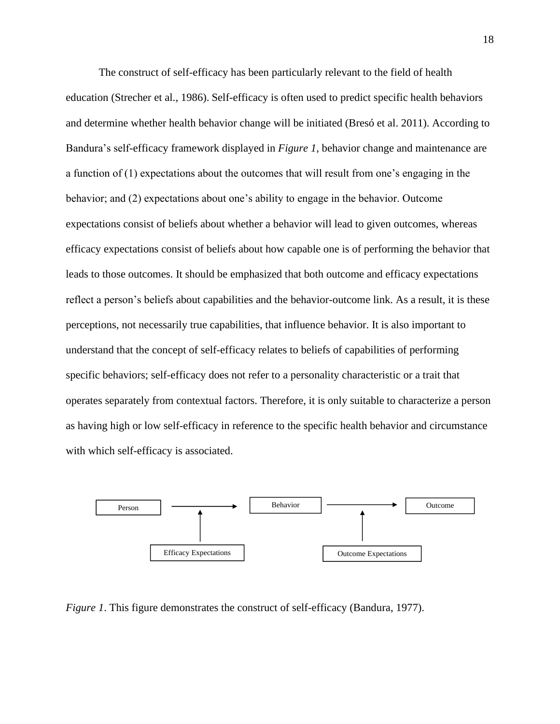The construct of self-efficacy has been particularly relevant to the field of health education (Strecher et al., 1986). Self-efficacy is often used to predict specific health behaviors and determine whether health behavior change will be initiated (Bresó et al. 2011). According to Bandura's self-efficacy framework displayed in *Figure 1*, behavior change and maintenance are a function of (1) expectations about the outcomes that will result from one's engaging in the behavior; and (2) expectations about one's ability to engage in the behavior. Outcome expectations consist of beliefs about whether a behavior will lead to given outcomes, whereas efficacy expectations consist of beliefs about how capable one is of performing the behavior that leads to those outcomes. It should be emphasized that both outcome and efficacy expectations reflect a person's beliefs about capabilities and the behavior-outcome link. As a result, it is these perceptions, not necessarily true capabilities, that influence behavior. It is also important to understand that the concept of self-efficacy relates to beliefs of capabilities of performing specific behaviors; self-efficacy does not refer to a personality characteristic or a trait that operates separately from contextual factors. Therefore, it is only suitable to characterize a person as having high or low self-efficacy in reference to the specific health behavior and circumstance with which self-efficacy is associated.



*Figure 1*. This figure demonstrates the construct of self-efficacy (Bandura, 1977).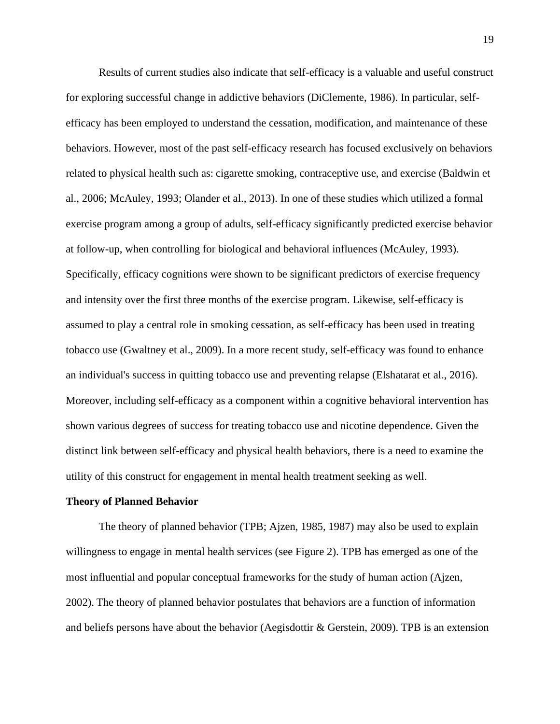Results of current studies also indicate that self-efficacy is a valuable and useful construct for exploring successful change in addictive behaviors (DiClemente, 1986). In particular, selfefficacy has been employed to understand the cessation, modification, and maintenance of these behaviors. However, most of the past self-efficacy research has focused exclusively on behaviors related to physical health such as: cigarette smoking, contraceptive use, and exercise (Baldwin et al., 2006; McAuley, 1993; Olander et al., 2013). In one of these studies which utilized a formal exercise program among a group of adults, self-efficacy significantly predicted exercise behavior at follow-up, when controlling for biological and behavioral influences (McAuley, 1993). Specifically, efficacy cognitions were shown to be significant predictors of exercise frequency and intensity over the first three months of the exercise program. Likewise, self-efficacy is assumed to play a central role in smoking cessation, as self-efficacy has been used in treating tobacco use (Gwaltney et al., 2009). In a more recent study, self-efficacy was found to enhance an individual's success in quitting tobacco use and preventing relapse (Elshatarat et al., 2016). Moreover, including self-efficacy as a component within a cognitive behavioral intervention has shown various degrees of success for treating tobacco use and nicotine dependence. Given the distinct link between self-efficacy and physical health behaviors, there is a need to examine the utility of this construct for engagement in mental health treatment seeking as well.

#### <span id="page-19-0"></span>**Theory of Planned Behavior**

The theory of planned behavior (TPB; Ajzen, 1985, 1987) may also be used to explain willingness to engage in mental health services (see Figure 2). TPB has emerged as one of the most influential and popular conceptual frameworks for the study of human action (Ajzen, 2002). The theory of planned behavior postulates that behaviors are a function of information and beliefs persons have about the behavior (Aegisdottir & Gerstein, 2009). TPB is an extension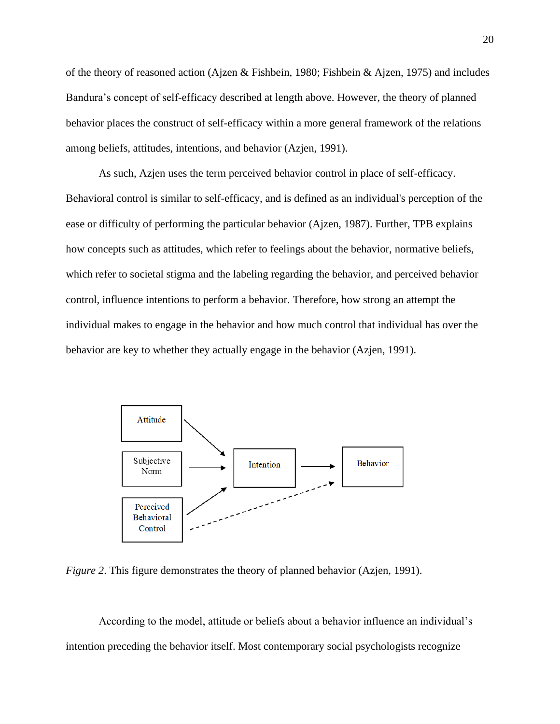of the theory of reasoned action (Ajzen & Fishbein, 1980; Fishbein & Ajzen, 1975) and includes Bandura's concept of self-efficacy described at length above. However, the theory of planned behavior places the construct of self-efficacy within a more general framework of the relations among beliefs, attitudes, intentions, and behavior (Azjen, 1991).

As such, Azjen uses the term perceived behavior control in place of self-efficacy. Behavioral control is similar to self-efficacy, and is defined as an individual's perception of the ease or difficulty of performing the particular behavior (Ajzen, 1987). Further, TPB explains how concepts such as attitudes, which refer to feelings about the behavior, normative beliefs, which refer to societal stigma and the labeling regarding the behavior, and perceived behavior control, influence intentions to perform a behavior. Therefore, how strong an attempt the individual makes to engage in the behavior and how much control that individual has over the behavior are key to whether they actually engage in the behavior (Azjen, 1991).



*Figure 2*. This figure demonstrates the theory of planned behavior (Azjen, 1991).

According to the model, attitude or beliefs about a behavior influence an individual's intention preceding the behavior itself. Most contemporary social psychologists recognize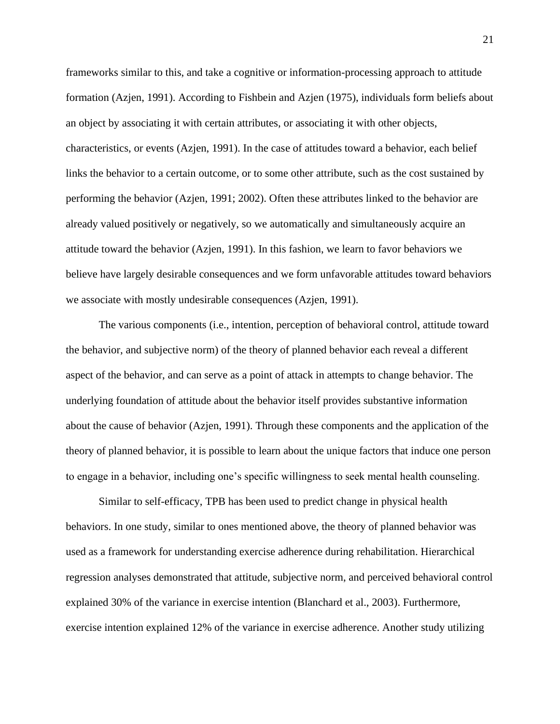frameworks similar to this, and take a cognitive or information-processing approach to attitude formation (Azjen, 1991). According to Fishbein and Azjen (1975), individuals form beliefs about an object by associating it with certain attributes, or associating it with other objects, characteristics, or events (Azjen, 1991). In the case of attitudes toward a behavior, each belief links the behavior to a certain outcome, or to some other attribute, such as the cost sustained by performing the behavior (Azjen, 1991; 2002). Often these attributes linked to the behavior are already valued positively or negatively, so we automatically and simultaneously acquire an attitude toward the behavior (Azjen, 1991). In this fashion, we learn to favor behaviors we believe have largely desirable consequences and we form unfavorable attitudes toward behaviors we associate with mostly undesirable consequences (Azjen, 1991).

The various components (i.e., intention, perception of behavioral control, attitude toward the behavior, and subjective norm) of the theory of planned behavior each reveal a different aspect of the behavior, and can serve as a point of attack in attempts to change behavior. The underlying foundation of attitude about the behavior itself provides substantive information about the cause of behavior (Azjen, 1991). Through these components and the application of the theory of planned behavior, it is possible to learn about the unique factors that induce one person to engage in a behavior, including one's specific willingness to seek mental health counseling.

Similar to self-efficacy, TPB has been used to predict change in physical health behaviors. In one study, similar to ones mentioned above, the theory of planned behavior was used as a framework for understanding exercise adherence during rehabilitation. Hierarchical regression analyses demonstrated that attitude, subjective norm, and perceived behavioral control explained 30% of the variance in exercise intention (Blanchard et al., 2003). Furthermore, exercise intention explained 12% of the variance in exercise adherence. Another study utilizing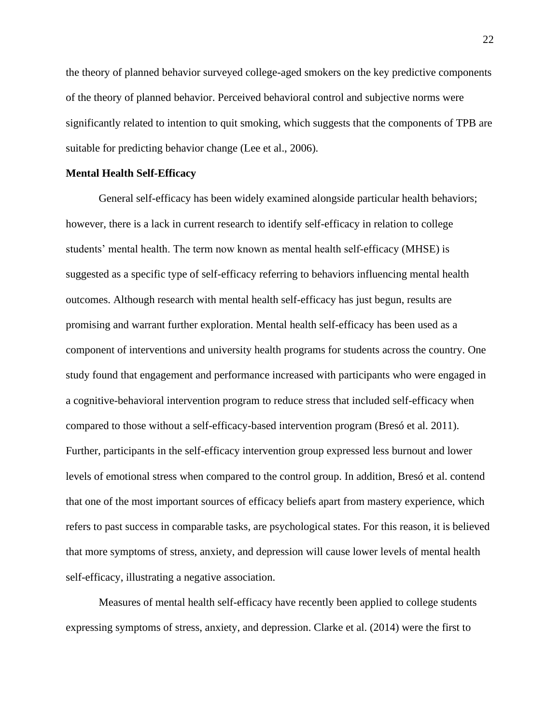the theory of planned behavior surveyed college-aged smokers on the key predictive components of the theory of planned behavior. Perceived behavioral control and subjective norms were significantly related to intention to quit smoking, which suggests that the components of TPB are suitable for predicting behavior change (Lee et al., 2006).

#### <span id="page-22-0"></span>**Mental Health Self-Efficacy**

General self-efficacy has been widely examined alongside particular health behaviors; however, there is a lack in current research to identify self-efficacy in relation to college students' mental health. The term now known as mental health self-efficacy (MHSE) is suggested as a specific type of self-efficacy referring to behaviors influencing mental health outcomes. Although research with mental health self-efficacy has just begun, results are promising and warrant further exploration. Mental health self-efficacy has been used as a component of interventions and university health programs for students across the country. One study found that engagement and performance increased with participants who were engaged in a cognitive-behavioral intervention program to reduce stress that included self-efficacy when compared to those without a self-efficacy-based intervention program (Bresó et al. 2011). Further, participants in the self-efficacy intervention group expressed less burnout and lower levels of emotional stress when compared to the control group. In addition, Bresó et al. contend that one of the most important sources of efficacy beliefs apart from mastery experience, which refers to past success in comparable tasks, are psychological states. For this reason, it is believed that more symptoms of stress, anxiety, and depression will cause lower levels of mental health self-efficacy, illustrating a negative association.

Measures of mental health self-efficacy have recently been applied to college students expressing symptoms of stress, anxiety, and depression. Clarke et al. (2014) were the first to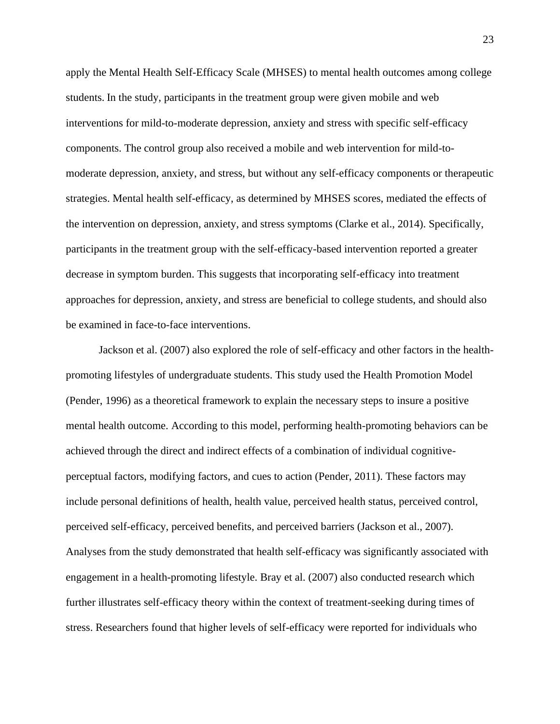apply the Mental Health Self-Efficacy Scale (MHSES) to mental health outcomes among college students. In the study, participants in the treatment group were given mobile and web interventions for mild-to-moderate depression, anxiety and stress with specific self-efficacy components. The control group also received a mobile and web intervention for mild-tomoderate depression, anxiety, and stress, but without any self-efficacy components or therapeutic strategies. Mental health self-efficacy, as determined by MHSES scores, mediated the effects of the intervention on depression, anxiety, and stress symptoms (Clarke et al., 2014). Specifically, participants in the treatment group with the self-efficacy-based intervention reported a greater decrease in symptom burden. This suggests that incorporating self-efficacy into treatment approaches for depression, anxiety, and stress are beneficial to college students, and should also be examined in face-to-face interventions.

Jackson et al. (2007) also explored the role of self-efficacy and other factors in the healthpromoting lifestyles of undergraduate students. This study used the Health Promotion Model (Pender, 1996) as a theoretical framework to explain the necessary steps to insure a positive mental health outcome. According to this model, performing health-promoting behaviors can be achieved through the direct and indirect effects of a combination of individual cognitiveperceptual factors, modifying factors, and cues to action (Pender, 2011). These factors may include personal definitions of health, health value, perceived health status, perceived control, perceived self-efficacy, perceived benefits, and perceived barriers (Jackson et al., 2007). Analyses from the study demonstrated that health self-efficacy was significantly associated with engagement in a health-promoting lifestyle. Bray et al. (2007) also conducted research which further illustrates self-efficacy theory within the context of treatment-seeking during times of stress. Researchers found that higher levels of self-efficacy were reported for individuals who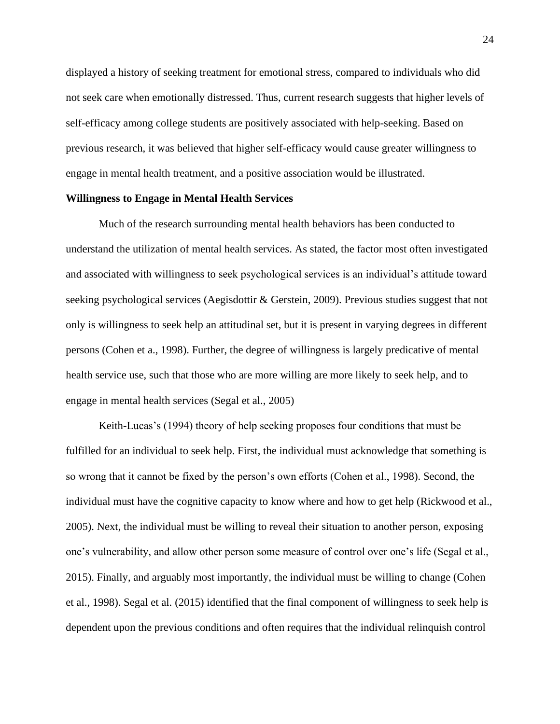displayed a history of seeking treatment for emotional stress, compared to individuals who did not seek care when emotionally distressed. Thus, current research suggests that higher levels of self-efficacy among college students are positively associated with help-seeking. Based on previous research, it was believed that higher self-efficacy would cause greater willingness to engage in mental health treatment, and a positive association would be illustrated.

#### <span id="page-24-0"></span>**Willingness to Engage in Mental Health Services**

Much of the research surrounding mental health behaviors has been conducted to understand the utilization of mental health services. As stated, the factor most often investigated and associated with willingness to seek psychological services is an individual's attitude toward seeking psychological services (Aegisdottir & Gerstein, 2009). Previous studies suggest that not only is willingness to seek help an attitudinal set, but it is present in varying degrees in different persons (Cohen et a., 1998). Further, the degree of willingness is largely predicative of mental health service use, such that those who are more willing are more likely to seek help, and to engage in mental health services (Segal et al., 2005)

Keith-Lucas's (1994) theory of help seeking proposes four conditions that must be fulfilled for an individual to seek help. First, the individual must acknowledge that something is so wrong that it cannot be fixed by the person's own efforts (Cohen et al., 1998). Second, the individual must have the cognitive capacity to know where and how to get help (Rickwood et al., 2005). Next, the individual must be willing to reveal their situation to another person, exposing one's vulnerability, and allow other person some measure of control over one's life (Segal et al., 2015). Finally, and arguably most importantly, the individual must be willing to change (Cohen et al., 1998). Segal et al. (2015) identified that the final component of willingness to seek help is dependent upon the previous conditions and often requires that the individual relinquish control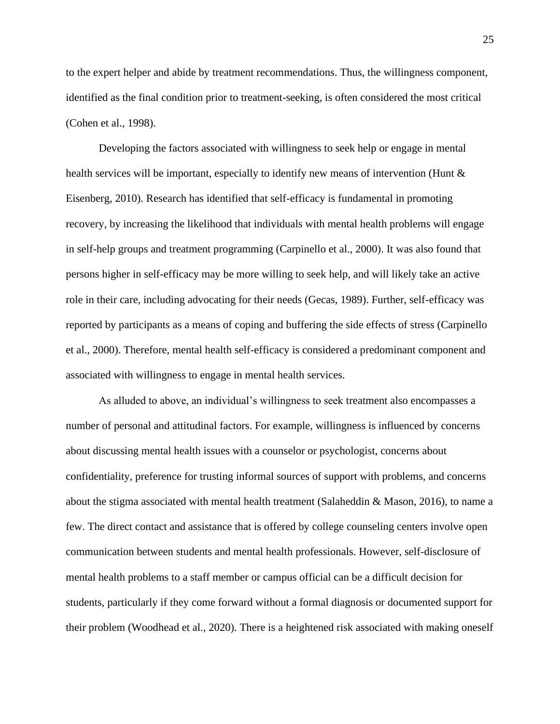to the expert helper and abide by treatment recommendations. Thus, the willingness component, identified as the final condition prior to treatment-seeking, is often considered the most critical (Cohen et al., 1998).

Developing the factors associated with willingness to seek help or engage in mental health services will be important, especially to identify new means of intervention (Hunt & Eisenberg, 2010). Research has identified that self-efficacy is fundamental in promoting recovery, by increasing the likelihood that individuals with mental health problems will engage in self-help groups and treatment programming (Carpinello et al., 2000). It was also found that persons higher in self-efficacy may be more willing to seek help, and will likely take an active role in their care, including advocating for their needs (Gecas, 1989). Further, self-efficacy was reported by participants as a means of coping and buffering the side effects of stress (Carpinello et al., 2000). Therefore, mental health self-efficacy is considered a predominant component and associated with willingness to engage in mental health services.

As alluded to above, an individual's willingness to seek treatment also encompasses a number of personal and attitudinal factors. For example, willingness is influenced by concerns about discussing mental health issues with a counselor or psychologist, concerns about confidentiality, preference for trusting informal sources of support with problems, and concerns about the stigma associated with mental health treatment (Salaheddin & Mason, 2016), to name a few. The direct contact and assistance that is offered by college counseling centers involve open communication between students and mental health professionals. However, self-disclosure of mental health problems to a staff member or campus official can be a difficult decision for students, particularly if they come forward without a formal diagnosis or documented support for their problem (Woodhead et al., 2020). There is a heightened risk associated with making oneself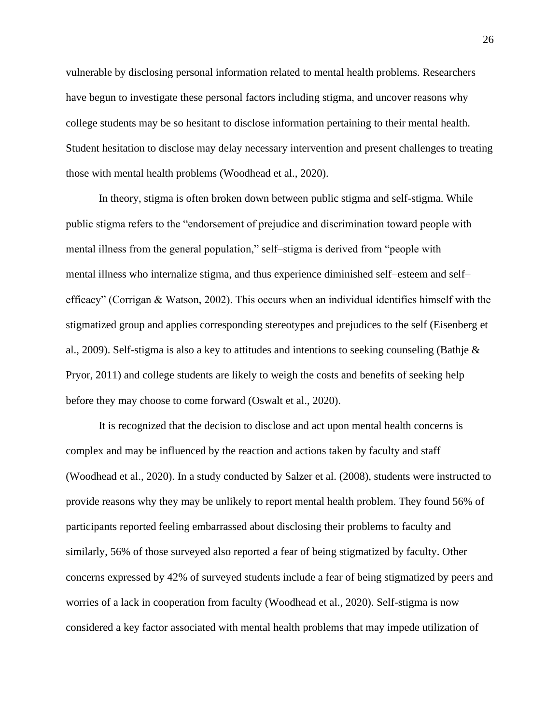vulnerable by disclosing personal information related to mental health problems. Researchers have begun to investigate these personal factors including stigma, and uncover reasons why college students may be so hesitant to disclose information pertaining to their mental health. Student hesitation to disclose may delay necessary intervention and present challenges to treating those with mental health problems (Woodhead et al., 2020).

In theory, stigma is often broken down between public stigma and self-stigma. While public stigma refers to the "endorsement of prejudice and discrimination toward people with mental illness from the general population," self–stigma is derived from "people with mental illness who internalize stigma, and thus experience diminished self–esteem and self– efficacy" (Corrigan & Watson, 2002). This occurs when an individual identifies himself with the stigmatized group and applies corresponding stereotypes and prejudices to the self (Eisenberg et al., 2009). Self-stigma is also a key to attitudes and intentions to seeking counseling (Bathje  $\&$ Pryor, 2011) and college students are likely to weigh the costs and benefits of seeking help before they may choose to come forward (Oswalt et al., 2020).

It is recognized that the decision to disclose and act upon mental health concerns is complex and may be influenced by the reaction and actions taken by faculty and staff (Woodhead et al., 2020). In a study conducted by Salzer et al. (2008), students were instructed to provide reasons why they may be unlikely to report mental health problem. They found 56% of participants reported feeling embarrassed about disclosing their problems to faculty and similarly, 56% of those surveyed also reported a fear of being stigmatized by faculty. Other concerns expressed by 42% of surveyed students include a fear of being stigmatized by peers and worries of a lack in cooperation from faculty (Woodhead et al., 2020). Self-stigma is now considered a key factor associated with mental health problems that may impede utilization of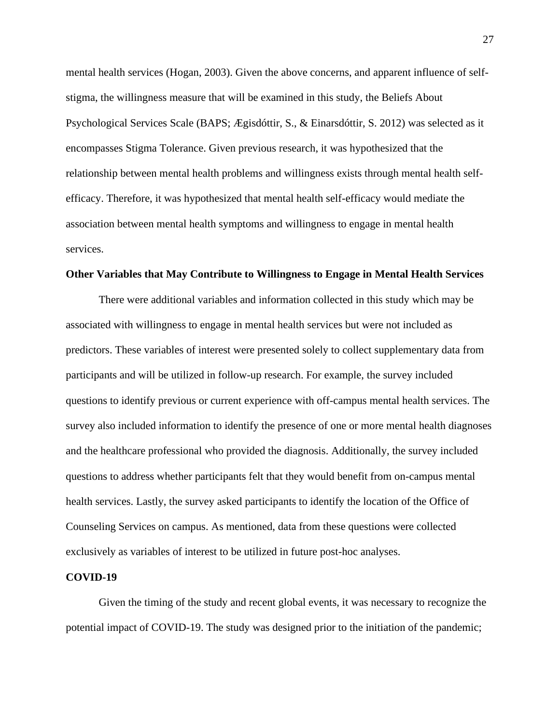mental health services (Hogan, 2003). Given the above concerns, and apparent influence of selfstigma, the willingness measure that will be examined in this study, the Beliefs About Psychological Services Scale (BAPS; Ægisdóttir, S., & Einarsdóttir, S. 2012) was selected as it encompasses Stigma Tolerance. Given previous research, it was hypothesized that the relationship between mental health problems and willingness exists through mental health selfefficacy. Therefore, it was hypothesized that mental health self-efficacy would mediate the association between mental health symptoms and willingness to engage in mental health services.

#### <span id="page-27-0"></span>**Other Variables that May Contribute to Willingness to Engage in Mental Health Services**

There were additional variables and information collected in this study which may be associated with willingness to engage in mental health services but were not included as predictors. These variables of interest were presented solely to collect supplementary data from participants and will be utilized in follow-up research. For example, the survey included questions to identify previous or current experience with off-campus mental health services. The survey also included information to identify the presence of one or more mental health diagnoses and the healthcare professional who provided the diagnosis. Additionally, the survey included questions to address whether participants felt that they would benefit from on-campus mental health services. Lastly, the survey asked participants to identify the location of the Office of Counseling Services on campus. As mentioned, data from these questions were collected exclusively as variables of interest to be utilized in future post-hoc analyses.

#### <span id="page-27-1"></span>**COVID-19**

Given the timing of the study and recent global events, it was necessary to recognize the potential impact of COVID-19. The study was designed prior to the initiation of the pandemic;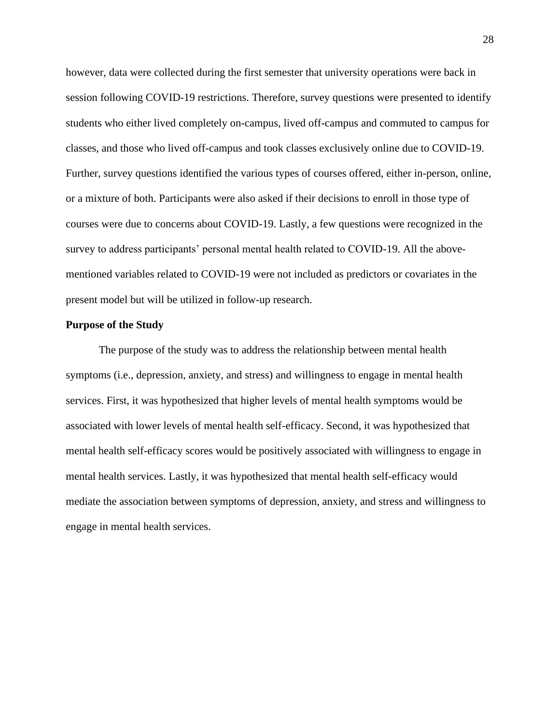however, data were collected during the first semester that university operations were back in session following COVID-19 restrictions. Therefore, survey questions were presented to identify students who either lived completely on-campus, lived off-campus and commuted to campus for classes, and those who lived off-campus and took classes exclusively online due to COVID-19. Further, survey questions identified the various types of courses offered, either in-person, online, or a mixture of both. Participants were also asked if their decisions to enroll in those type of courses were due to concerns about COVID-19. Lastly, a few questions were recognized in the survey to address participants' personal mental health related to COVID-19. All the abovementioned variables related to COVID-19 were not included as predictors or covariates in the present model but will be utilized in follow-up research.

#### <span id="page-28-0"></span>**Purpose of the Study**

The purpose of the study was to address the relationship between mental health symptoms (i.e., depression, anxiety, and stress) and willingness to engage in mental health services. First, it was hypothesized that higher levels of mental health symptoms would be associated with lower levels of mental health self-efficacy. Second, it was hypothesized that mental health self-efficacy scores would be positively associated with willingness to engage in mental health services. Lastly, it was hypothesized that mental health self-efficacy would mediate the association between symptoms of depression, anxiety, and stress and willingness to engage in mental health services.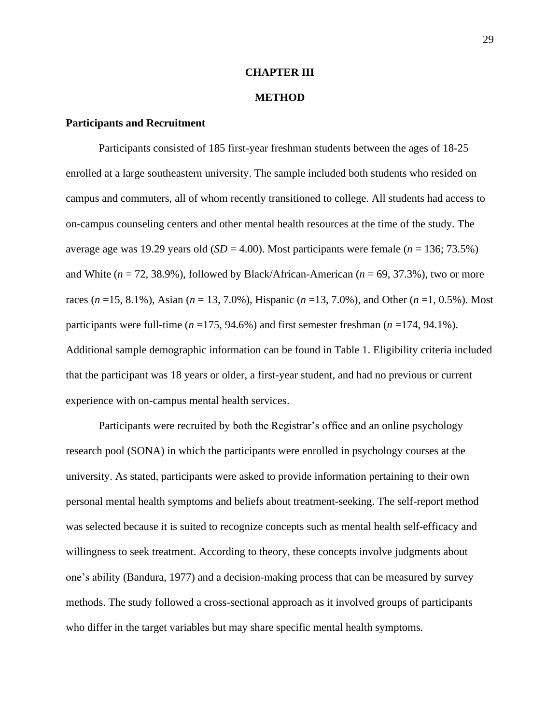#### **CHAPTER III**

#### **METHOD**

#### <span id="page-29-1"></span><span id="page-29-0"></span>**Participants and Recruitment**

Participants consisted of 185 first-year freshman students between the ages of 18-25 enrolled at a large southeastern university. The sample included both students who resided on campus and commuters, all of whom recently transitioned to college. All students had access to on-campus counseling centers and other mental health resources at the time of the study. The average age was 19.29 years old (*SD* = 4.00). Most participants were female (*n* = 136; 73.5%) and White  $(n = 72, 38.9\%)$ , followed by Black/African-American  $(n = 69, 37.3\%)$ , two or more races (*n* =15, 8.1%), Asian (*n* = 13, 7.0%), Hispanic (*n* =13, 7.0%), and Other (*n* =1, 0.5%). Most participants were full-time (*n* =175, 94.6%) and first semester freshman (*n* =174, 94.1%). Additional sample demographic information can be found in Table 1. Eligibility criteria included that the participant was 18 years or older, a first-year student, and had no previous or current experience with on-campus mental health services.

Participants were recruited by both the Registrar's office and an online psychology research pool (SONA) in which the participants were enrolled in psychology courses at the university. As stated, participants were asked to provide information pertaining to their own personal mental health symptoms and beliefs about treatment-seeking. The self-report method was selected because it is suited to recognize concepts such as mental health self-efficacy and willingness to seek treatment. According to theory, these concepts involve judgments about one's ability (Bandura, 1977) and a decision-making process that can be measured by survey methods. The study followed a cross-sectional approach as it involved groups of participants who differ in the target variables but may share specific mental health symptoms.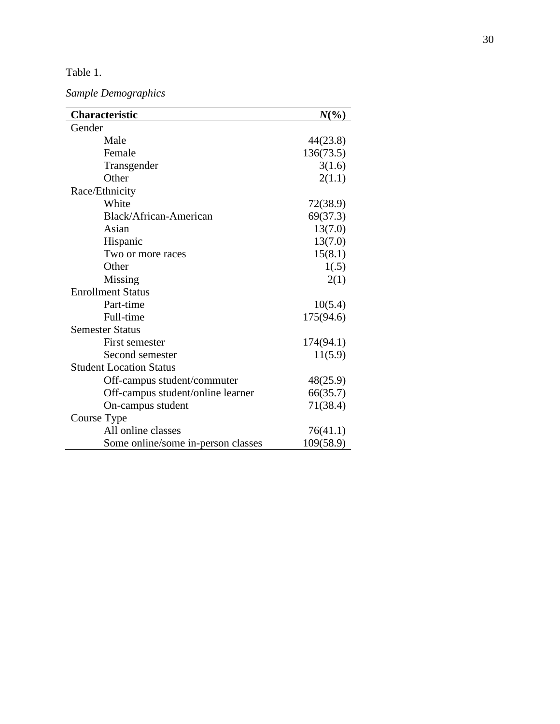#### Table 1 .

*Sample Demographics*

| <b>Characteristic</b>              | $N\binom{0}{0}$ |
|------------------------------------|-----------------|
| Gender                             |                 |
| Male                               | 44(23.8)        |
| Female                             | 136(73.5)       |
| Transgender                        | 3(1.6)          |
| Other                              | 2(1.1)          |
| Race/Ethnicity                     |                 |
| White                              | 72(38.9)        |
| Black/African-American             | 69(37.3)        |
| Asian                              | 13(7.0)         |
| Hispanic                           | 13(7.0)         |
| Two or more races                  | 15(8.1)         |
| Other                              | 1(.5)           |
| Missing                            | 2(1)            |
| <b>Enrollment Status</b>           |                 |
| Part-time                          | 10(5.4)         |
| Full-time                          | 175(94.6)       |
| <b>Semester Status</b>             |                 |
| First semester                     | 174(94.1)       |
| Second semester                    | 11(5.9)         |
| <b>Student Location Status</b>     |                 |
| Off-campus student/commuter        | 48(25.9)        |
| Off-campus student/online learner  | 66(35.7)        |
| On-campus student                  | 71(38.4)        |
| Course Type                        |                 |
| All online classes                 | 76(41.1)        |
| Some online/some in-person classes | 109(58.9)       |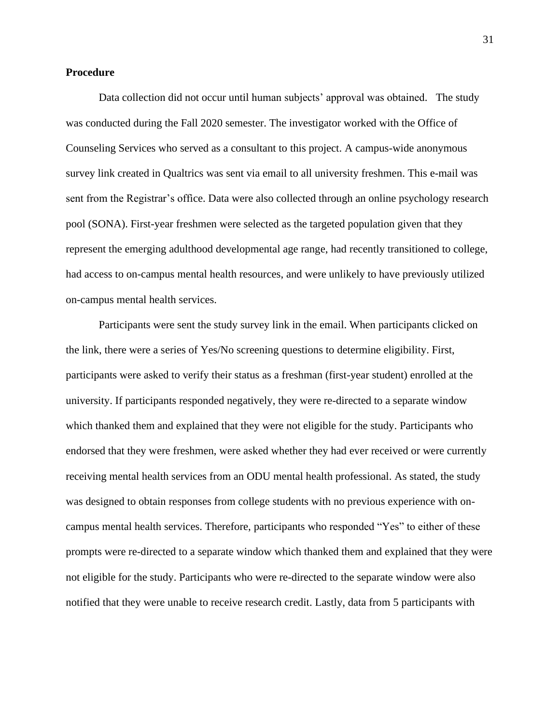#### <span id="page-31-0"></span>**Procedure**

Data collection did not occur until human subjects' approval was obtained. The study was conducted during the Fall 2020 semester. The investigator worked with the Office of Counseling Services who served as a consultant to this project. A campus-wide anonymous survey link created in Qualtrics was sent via email to all university freshmen. This e-mail was sent from the Registrar's office. Data were also collected through an online psychology research pool (SONA). First-year freshmen were selected as the targeted population given that they represent the emerging adulthood developmental age range, had recently transitioned to college, had access to on-campus mental health resources, and were unlikely to have previously utilized on-campus mental health services.

Participants were sent the study survey link in the email. When participants clicked on the link, there were a series of Yes/No screening questions to determine eligibility. First, participants were asked to verify their status as a freshman (first-year student) enrolled at the university. If participants responded negatively, they were re-directed to a separate window which thanked them and explained that they were not eligible for the study. Participants who endorsed that they were freshmen, were asked whether they had ever received or were currently receiving mental health services from an ODU mental health professional. As stated, the study was designed to obtain responses from college students with no previous experience with oncampus mental health services. Therefore, participants who responded "Yes" to either of these prompts were re-directed to a separate window which thanked them and explained that they were not eligible for the study. Participants who were re-directed to the separate window were also notified that they were unable to receive research credit. Lastly, data from 5 participants with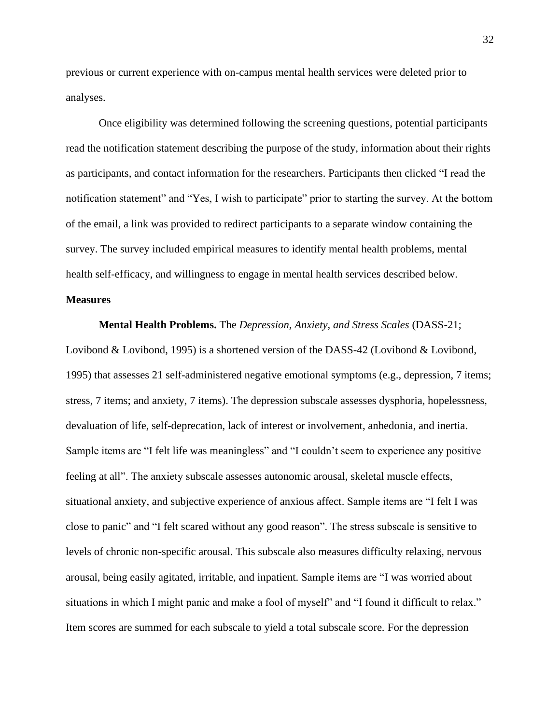previous or current experience with on-campus mental health services were deleted prior to analyses.

Once eligibility was determined following the screening questions, potential participants read the notification statement describing the purpose of the study, information about their rights as participants, and contact information for the researchers. Participants then clicked "I read the notification statement" and "Yes, I wish to participate" prior to starting the survey. At the bottom of the email, a link was provided to redirect participants to a separate window containing the survey. The survey included empirical measures to identify mental health problems, mental health self-efficacy, and willingness to engage in mental health services described below.

#### <span id="page-32-0"></span>**Measures**

**Mental Health Problems.** The *Depression, Anxiety, and Stress Scales* (DASS-21; Lovibond & Lovibond, 1995) is a shortened version of the DASS-42 (Lovibond & Lovibond, 1995) that assesses 21 self-administered negative emotional symptoms (e.g., depression, 7 items; stress, 7 items; and anxiety, 7 items). The depression subscale assesses dysphoria, hopelessness, devaluation of life, self-deprecation, lack of interest or involvement, anhedonia, and inertia. Sample items are "I felt life was meaningless" and "I couldn't seem to experience any positive feeling at all". The anxiety subscale assesses autonomic arousal, skeletal muscle effects, situational anxiety, and subjective experience of anxious affect. Sample items are "I felt I was close to panic" and "I felt scared without any good reason". The stress subscale is sensitive to levels of chronic non-specific arousal. This subscale also measures difficulty relaxing, nervous arousal, being easily agitated, irritable, and inpatient. Sample items are "I was worried about situations in which I might panic and make a fool of myself" and "I found it difficult to relax." Item scores are summed for each subscale to yield a total subscale score. For the depression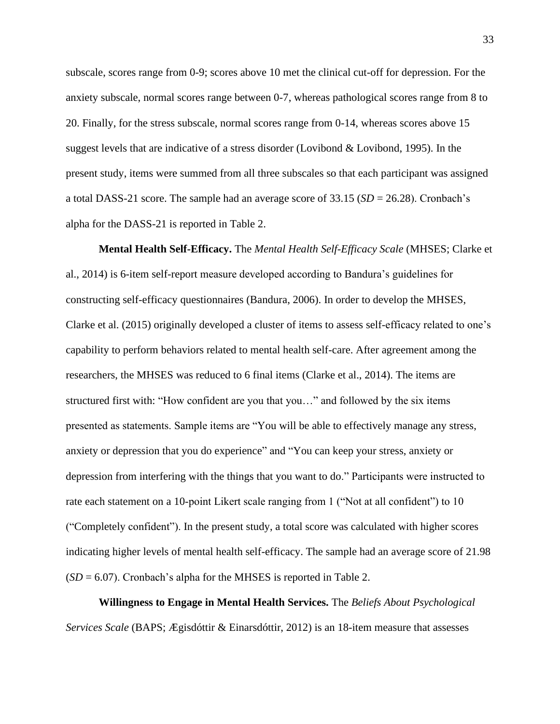subscale, scores range from 0-9; scores above 10 met the clinical cut-off for depression. For the anxiety subscale, normal scores range between 0-7, whereas pathological scores range from 8 to 20. Finally, for the stress subscale, normal scores range from 0-14, whereas scores above 15 suggest levels that are indicative of a stress disorder (Lovibond & Lovibond, 1995). In the present study, items were summed from all three subscales so that each participant was assigned a total DASS-21 score. The sample had an average score of 33.15 (*SD* = 26.28). Cronbach's alpha for the DASS-21 is reported in Table 2.

**Mental Health Self-Efficacy.** The *Mental Health Self-Efficacy Scale* (MHSES; Clarke et al., 2014) is 6-item self-report measure developed according to Bandura's guidelines for constructing self-efficacy questionnaires (Bandura, 2006). In order to develop the MHSES, Clarke et al. (2015) originally developed a cluster of items to assess self-efficacy related to one's capability to perform behaviors related to mental health self-care. After agreement among the researchers, the MHSES was reduced to 6 final items (Clarke et al., 2014). The items are structured first with: "How confident are you that you…" and followed by the six items presented as statements. Sample items are "You will be able to effectively manage any stress, anxiety or depression that you do experience" and "You can keep your stress, anxiety or depression from interfering with the things that you want to do." Participants were instructed to rate each statement on a 10-point Likert scale ranging from 1 ("Not at all confident") to 10 ("Completely confident"). In the present study, a total score was calculated with higher scores indicating higher levels of mental health self-efficacy. The sample had an average score of 21.98  $(SD = 6.07)$ . Cronbach's alpha for the MHSES is reported in Table 2.

**Willingness to Engage in Mental Health Services.** The *Beliefs About Psychological Services Scale* (BAPS; Ægisdóttir & Einarsdóttir, 2012) is an 18-item measure that assesses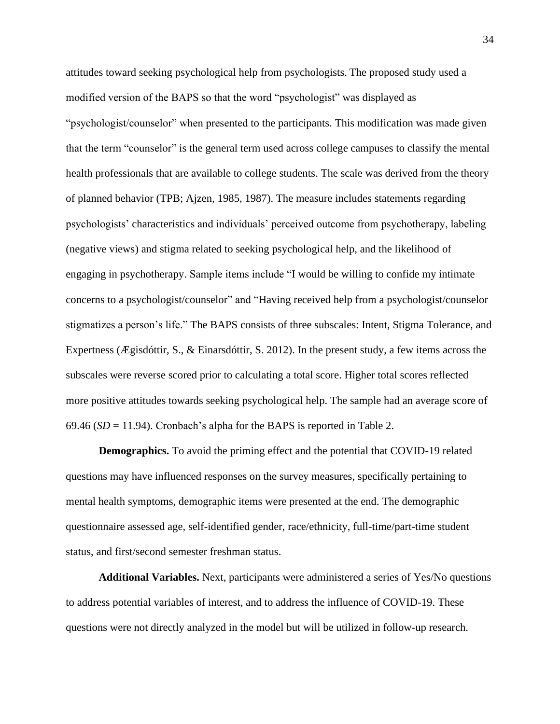attitudes toward seeking psychological help from psychologists. The proposed study used a modified version of the BAPS so that the word "psychologist" was displayed as "psychologist/counselor" when presented to the participants. This modification was made given that the term "counselor" is the general term used across college campuses to classify the mental health professionals that are available to college students. The scale was derived from the theory of planned behavior (TPB; Ajzen, 1985, 1987). The measure includes statements regarding psychologists' characteristics and individuals' perceived outcome from psychotherapy, labeling (negative views) and stigma related to seeking psychological help, and the likelihood of engaging in psychotherapy. Sample items include "I would be willing to confide my intimate concerns to a psychologist/counselor" and "Having received help from a psychologist/counselor stigmatizes a person's life." The BAPS consists of three subscales: Intent, Stigma Tolerance, and Expertness (Ægisdóttir, S., & Einarsdóttir, S. 2012). In the present study, a few items across the subscales were reverse scored prior to calculating a total score. Higher total scores reflected more positive attitudes towards seeking psychological help. The sample had an average score of 69.46 ( $SD = 11.94$ ). Cronbach's alpha for the BAPS is reported in Table 2.

**Demographics.** To avoid the priming effect and the potential that COVID-19 related questions may have influenced responses on the survey measures, specifically pertaining to mental health symptoms, demographic items were presented at the end. The demographic questionnaire assessed age, self-identified gender, race/ethnicity, full-time/part-time student status, and first/second semester freshman status.

**Additional Variables.** Next, participants were administered a series of Yes/No questions to address potential variables of interest, and to address the influence of COVID-19. These questions were not directly analyzed in the model but will be utilized in follow-up research.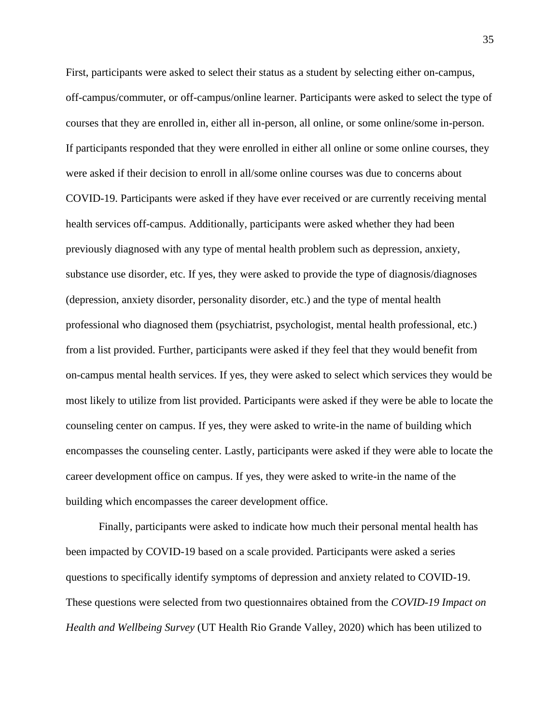First, participants were asked to select their status as a student by selecting either on-campus, off-campus/commuter, or off-campus/online learner. Participants were asked to select the type of courses that they are enrolled in, either all in-person, all online, or some online/some in-person. If participants responded that they were enrolled in either all online or some online courses, they were asked if their decision to enroll in all/some online courses was due to concerns about COVID-19. Participants were asked if they have ever received or are currently receiving mental health services off-campus. Additionally, participants were asked whether they had been previously diagnosed with any type of mental health problem such as depression, anxiety, substance use disorder, etc. If yes, they were asked to provide the type of diagnosis/diagnoses (depression, anxiety disorder, personality disorder, etc.) and the type of mental health professional who diagnosed them (psychiatrist, psychologist, mental health professional, etc.) from a list provided. Further, participants were asked if they feel that they would benefit from on-campus mental health services. If yes, they were asked to select which services they would be most likely to utilize from list provided. Participants were asked if they were be able to locate the counseling center on campus. If yes, they were asked to write-in the name of building which encompasses the counseling center. Lastly, participants were asked if they were able to locate the career development office on campus. If yes, they were asked to write-in the name of the building which encompasses the career development office.

Finally, participants were asked to indicate how much their personal mental health has been impacted by COVID-19 based on a scale provided. Participants were asked a series questions to specifically identify symptoms of depression and anxiety related to COVID-19. These questions were selected from two questionnaires obtained from the *COVID-19 Impact on Health and Wellbeing Survey* (UT Health Rio Grande Valley, 2020) which has been utilized to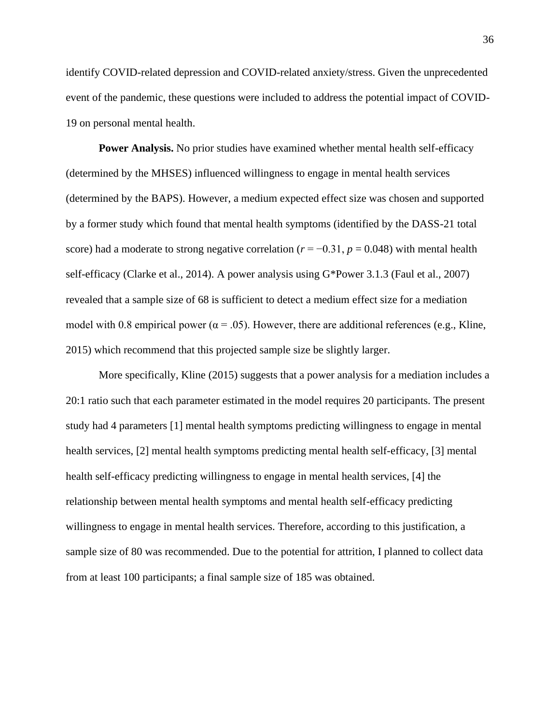identify COVID-related depression and COVID-related anxiety/stress. Given the unprecedented event of the pandemic, these questions were included to address the potential impact of COVID-19 on personal mental health.

**Power Analysis.** No prior studies have examined whether mental health self-efficacy (determined by the MHSES) influenced willingness to engage in mental health services (determined by the BAPS). However, a medium expected effect size was chosen and supported by a former study which found that mental health symptoms (identified by the DASS-21 total score) had a moderate to strong negative correlation ( $r = -0.31$ ,  $p = 0.048$ ) with mental health self-efficacy (Clarke et al., 2014). A power analysis using G\*Power 3.1.3 (Faul et al., 2007) revealed that a sample size of 68 is sufficient to detect a medium effect size for a mediation model with 0.8 empirical power ( $\alpha$  = .05). However, there are additional references (e.g., Kline, 2015) which recommend that this projected sample size be slightly larger.

<span id="page-36-0"></span>More specifically, Kline (2015) suggests that a power analysis for a mediation includes a 20:1 ratio such that each parameter estimated in the model requires 20 participants. The present study had 4 parameters [1] mental health symptoms predicting willingness to engage in mental health services, [2] mental health symptoms predicting mental health self-efficacy, [3] mental health self-efficacy predicting willingness to engage in mental health services, [4] the relationship between mental health symptoms and mental health self-efficacy predicting willingness to engage in mental health services. Therefore, according to this justification, a sample size of 80 was recommended. Due to the potential for attrition, I planned to collect data from at least 100 participants; a final sample size of 185 was obtained.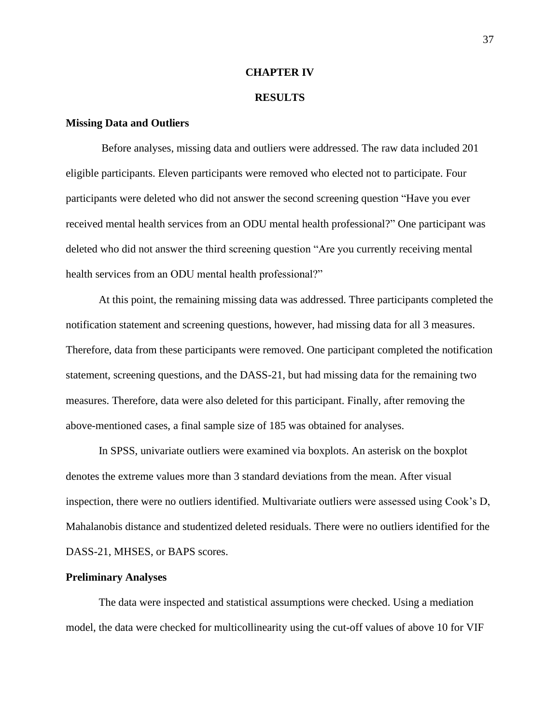#### **CHAPTER IV**

#### **RESULTS**

#### <span id="page-37-1"></span><span id="page-37-0"></span>**Missing Data and Outliers**

Before analyses, missing data and outliers were addressed. The raw data included 201 eligible participants. Eleven participants were removed who elected not to participate. Four participants were deleted who did not answer the second screening question "Have you ever received mental health services from an ODU mental health professional?" One participant was deleted who did not answer the third screening question "Are you currently receiving mental health services from an ODU mental health professional?"

At this point, the remaining missing data was addressed. Three participants completed the notification statement and screening questions, however, had missing data for all 3 measures. Therefore, data from these participants were removed. One participant completed the notification statement, screening questions, and the DASS-21, but had missing data for the remaining two measures. Therefore, data were also deleted for this participant. Finally, after removing the above-mentioned cases, a final sample size of 185 was obtained for analyses.

In SPSS, univariate outliers were examined via boxplots. An asterisk on the boxplot denotes the extreme values more than 3 standard deviations from the mean. After visual inspection, there were no outliers identified. Multivariate outliers were assessed using Cook's D, Mahalanobis distance and studentized deleted residuals. There were no outliers identified for the DASS-21, MHSES, or BAPS scores.

#### <span id="page-37-2"></span>**Preliminary Analyses**

The data were inspected and statistical assumptions were checked. Using a mediation model, the data were checked for multicollinearity using the cut-off values of above 10 for VIF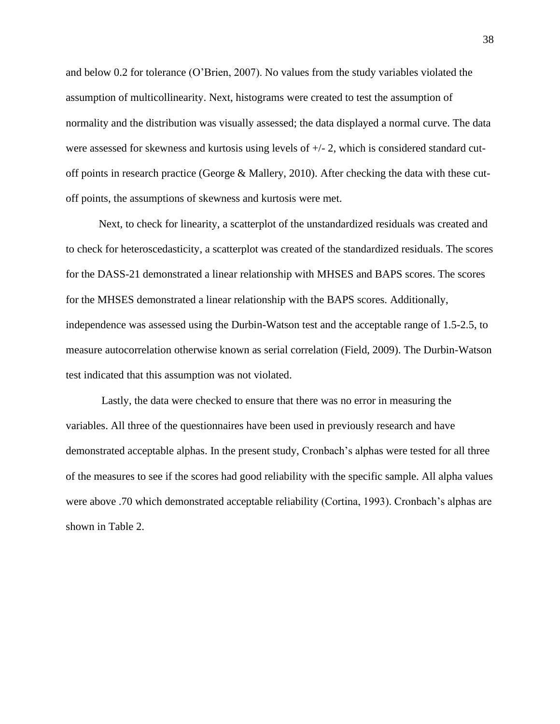and below 0.2 for tolerance (O'Brien, 2007). No values from the study variables violated the assumption of multicollinearity. Next, histograms were created to test the assumption of normality and the distribution was visually assessed; the data displayed a normal curve. The data were assessed for skewness and kurtosis using levels of +/- 2, which is considered standard cutoff points in research practice (George & Mallery, 2010). After checking the data with these cutoff points, the assumptions of skewness and kurtosis were met.

Next, to check for linearity, a scatterplot of the unstandardized residuals was created and to check for heteroscedasticity, a scatterplot was created of the standardized residuals. The scores for the DASS-21 demonstrated a linear relationship with MHSES and BAPS scores. The scores for the MHSES demonstrated a linear relationship with the BAPS scores. Additionally, independence was assessed using the Durbin-Watson test and the acceptable range of 1.5-2.5, to measure autocorrelation otherwise known as serial correlation (Field, 2009). The Durbin-Watson test indicated that this assumption was not violated.

Lastly, the data were checked to ensure that there was no error in measuring the variables. All three of the questionnaires have been used in previously research and have demonstrated acceptable alphas. In the present study, Cronbach's alphas were tested for all three of the measures to see if the scores had good reliability with the specific sample. All alpha values were above .70 which demonstrated acceptable reliability (Cortina, 1993). Cronbach's alphas are shown in Table 2.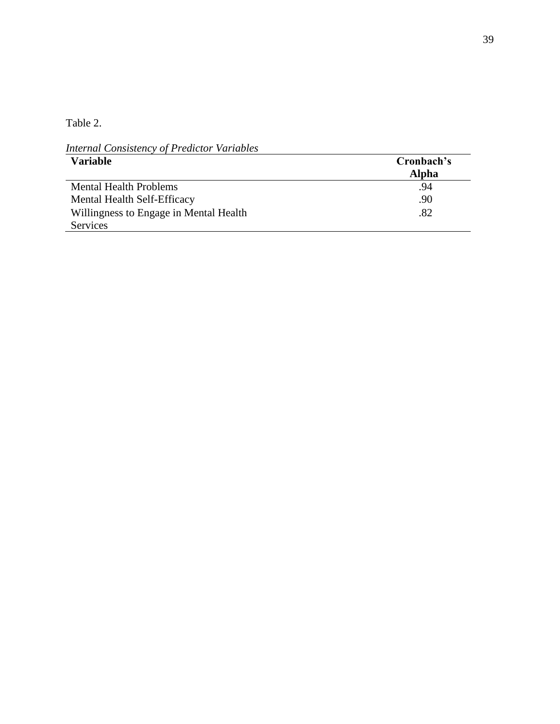Table 2.

*Internal Consistency of Predictor Variables*

| <b>Variable</b>                        | Cronbach's |
|----------------------------------------|------------|
|                                        | Alpha      |
| <b>Mental Health Problems</b>          | .94        |
| Mental Health Self-Efficacy            | .90        |
| Willingness to Engage in Mental Health | .82        |
| <b>Services</b>                        |            |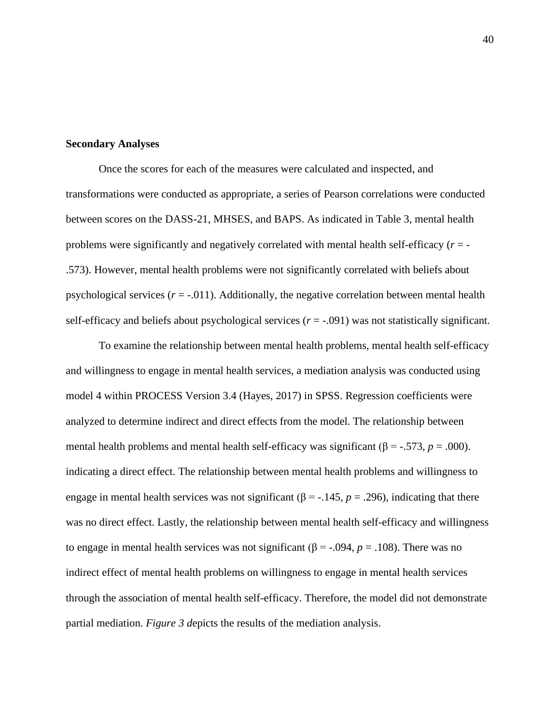### <span id="page-40-0"></span>**Secondary Analyses**

Once the scores for each of the measures were calculated and inspected, and transformations were conducted as appropriate, a series of Pearson correlations were conducted between scores on the DASS-21, MHSES, and BAPS. As indicated in Table 3, mental health problems were significantly and negatively correlated with mental health self-efficacy (*r* = - .573). However, mental health problems were not significantly correlated with beliefs about psychological services  $(r = -0.011)$ . Additionally, the negative correlation between mental health self-efficacy and beliefs about psychological services  $(r = -.091)$  was not statistically significant.

To examine the relationship between mental health problems, mental health self-efficacy and willingness to engage in mental health services, a mediation analysis was conducted using model 4 within PROCESS Version 3.4 (Hayes, 2017) in SPSS. Regression coefficients were analyzed to determine indirect and direct effects from the model. The relationship between mental health problems and mental health self-efficacy was significant ( $\beta$  = -.573, *p* = .000). indicating a direct effect. The relationship between mental health problems and willingness to engage in mental health services was not significant ( $\beta$  = -.145, *p* = .296), indicating that there was no direct effect. Lastly, the relationship between mental health self-efficacy and willingness to engage in mental health services was not significant ( $\beta$  = -.094,  $p$  = .108). There was no indirect effect of mental health problems on willingness to engage in mental health services through the association of mental health self-efficacy. Therefore, the model did not demonstrate partial mediation. *Figure 3 d*epicts the results of the mediation analysis.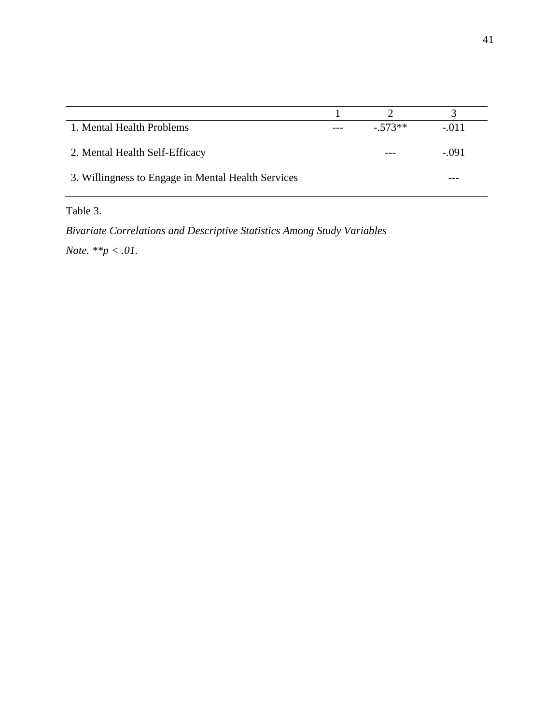| 1. Mental Health Problems                          | $-573**$ | $-011$  |
|----------------------------------------------------|----------|---------|
| 2. Mental Health Self-Efficacy                     |          | $-.091$ |
| 3. Willingness to Engage in Mental Health Services |          |         |

Table 3.

*Bivariate Correlations and Descriptive Statistics Among Study Variables Note. \*\*p < .01.*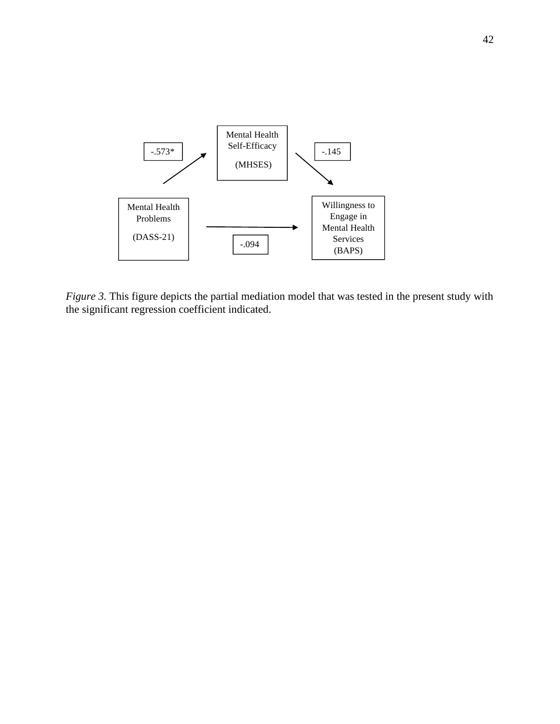

*Figure 3.* This figure depicts the partial mediation model that was tested in the present study with the significant regression coefficient indicated.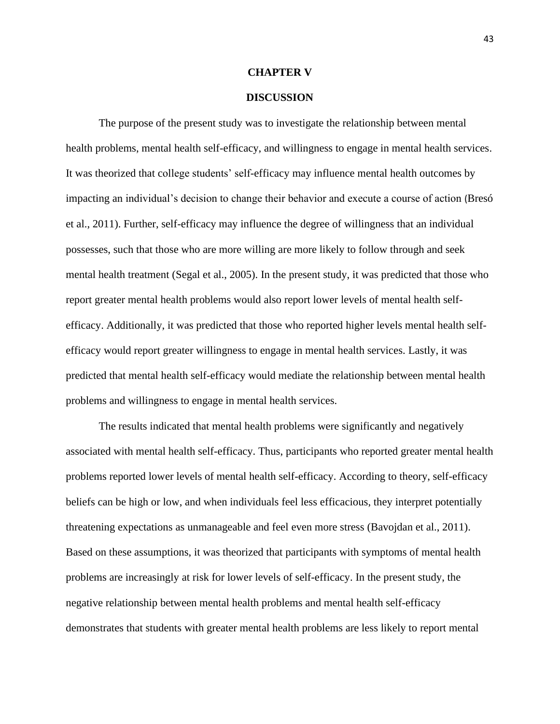#### **CHAPTER V**

#### **DISCUSSION**

<span id="page-43-1"></span><span id="page-43-0"></span>The purpose of the present study was to investigate the relationship between mental health problems, mental health self-efficacy, and willingness to engage in mental health services. It was theorized that college students' self-efficacy may influence mental health outcomes by impacting an individual's decision to change their behavior and execute a course of action (Bresó et al., 2011). Further, self-efficacy may influence the degree of willingness that an individual possesses, such that those who are more willing are more likely to follow through and seek mental health treatment (Segal et al., 2005). In the present study, it was predicted that those who report greater mental health problems would also report lower levels of mental health selfefficacy. Additionally, it was predicted that those who reported higher levels mental health selfefficacy would report greater willingness to engage in mental health services. Lastly, it was predicted that mental health self-efficacy would mediate the relationship between mental health problems and willingness to engage in mental health services.

The results indicated that mental health problems were significantly and negatively associated with mental health self-efficacy. Thus, participants who reported greater mental health problems reported lower levels of mental health self-efficacy. According to theory, self-efficacy beliefs can be high or low, and when individuals feel less efficacious, they interpret potentially threatening expectations as unmanageable and feel even more stress (Bavojdan et al., 2011). Based on these assumptions, it was theorized that participants with symptoms of mental health problems are increasingly at risk for lower levels of self-efficacy. In the present study, the negative relationship between mental health problems and mental health self-efficacy demonstrates that students with greater mental health problems are less likely to report mental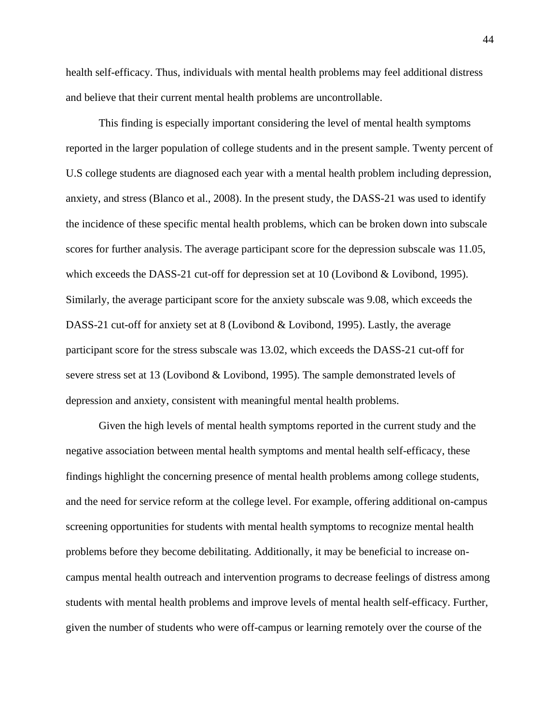health self-efficacy. Thus, individuals with mental health problems may feel additional distress and believe that their current mental health problems are uncontrollable.

This finding is especially important considering the level of mental health symptoms reported in the larger population of college students and in the present sample. Twenty percent of U.S college students are diagnosed each year with a mental health problem including depression, anxiety, and stress (Blanco et al., 2008). In the present study, the DASS-21 was used to identify the incidence of these specific mental health problems, which can be broken down into subscale scores for further analysis. The average participant score for the depression subscale was 11.05, which exceeds the DASS-21 cut-off for depression set at 10 (Lovibond & Lovibond, 1995). Similarly, the average participant score for the anxiety subscale was 9.08, which exceeds the DASS-21 cut-off for anxiety set at 8 (Lovibond & Lovibond, 1995). Lastly, the average participant score for the stress subscale was 13.02, which exceeds the DASS-21 cut-off for severe stress set at 13 (Lovibond & Lovibond, 1995). The sample demonstrated levels of depression and anxiety, consistent with meaningful mental health problems.

Given the high levels of mental health symptoms reported in the current study and the negative association between mental health symptoms and mental health self-efficacy, these findings highlight the concerning presence of mental health problems among college students, and the need for service reform at the college level. For example, offering additional on-campus screening opportunities for students with mental health symptoms to recognize mental health problems before they become debilitating. Additionally, it may be beneficial to increase oncampus mental health outreach and intervention programs to decrease feelings of distress among students with mental health problems and improve levels of mental health self-efficacy. Further, given the number of students who were off-campus or learning remotely over the course of the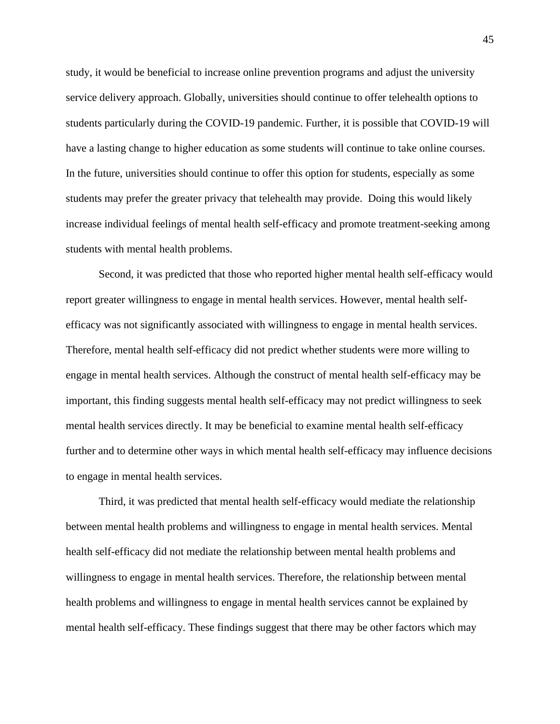study, it would be beneficial to increase online prevention programs and adjust the university service delivery approach. Globally, universities should continue to offer telehealth options to students particularly during the COVID-19 pandemic. Further, it is possible that COVID-19 will have a lasting change to higher education as some students will continue to take online courses. In the future, universities should continue to offer this option for students, especially as some students may prefer the greater privacy that telehealth may provide. Doing this would likely increase individual feelings of mental health self-efficacy and promote treatment-seeking among students with mental health problems.

Second, it was predicted that those who reported higher mental health self-efficacy would report greater willingness to engage in mental health services. However, mental health selfefficacy was not significantly associated with willingness to engage in mental health services. Therefore, mental health self-efficacy did not predict whether students were more willing to engage in mental health services. Although the construct of mental health self-efficacy may be important, this finding suggests mental health self-efficacy may not predict willingness to seek mental health services directly. It may be beneficial to examine mental health self-efficacy further and to determine other ways in which mental health self-efficacy may influence decisions to engage in mental health services.

Third, it was predicted that mental health self-efficacy would mediate the relationship between mental health problems and willingness to engage in mental health services. Mental health self-efficacy did not mediate the relationship between mental health problems and willingness to engage in mental health services. Therefore, the relationship between mental health problems and willingness to engage in mental health services cannot be explained by mental health self-efficacy. These findings suggest that there may be other factors which may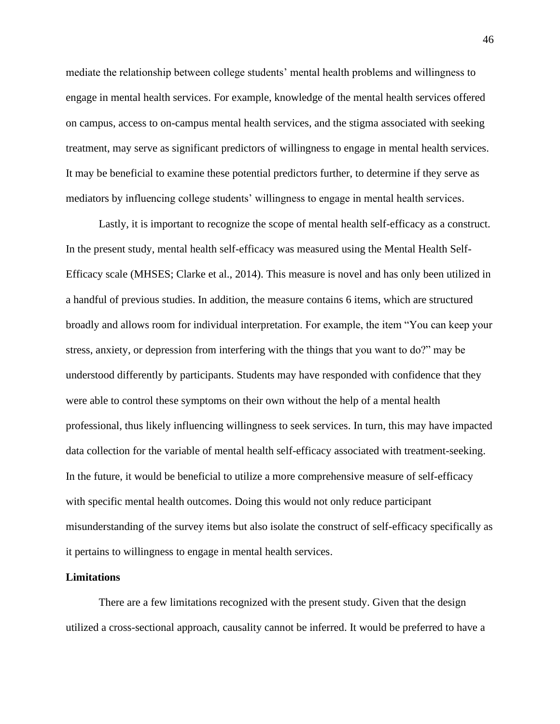mediate the relationship between college students' mental health problems and willingness to engage in mental health services. For example, knowledge of the mental health services offered on campus, access to on-campus mental health services, and the stigma associated with seeking treatment, may serve as significant predictors of willingness to engage in mental health services. It may be beneficial to examine these potential predictors further, to determine if they serve as mediators by influencing college students' willingness to engage in mental health services.

Lastly, it is important to recognize the scope of mental health self-efficacy as a construct. In the present study, mental health self-efficacy was measured using the Mental Health Self-Efficacy scale (MHSES; Clarke et al., 2014). This measure is novel and has only been utilized in a handful of previous studies. In addition, the measure contains 6 items, which are structured broadly and allows room for individual interpretation. For example, the item "You can keep your stress, anxiety, or depression from interfering with the things that you want to do?" may be understood differently by participants. Students may have responded with confidence that they were able to control these symptoms on their own without the help of a mental health professional, thus likely influencing willingness to seek services. In turn, this may have impacted data collection for the variable of mental health self-efficacy associated with treatment-seeking. In the future, it would be beneficial to utilize a more comprehensive measure of self-efficacy with specific mental health outcomes. Doing this would not only reduce participant misunderstanding of the survey items but also isolate the construct of self-efficacy specifically as it pertains to willingness to engage in mental health services.

#### <span id="page-46-0"></span>**Limitations**

There are a few limitations recognized with the present study. Given that the design utilized a cross-sectional approach, causality cannot be inferred. It would be preferred to have a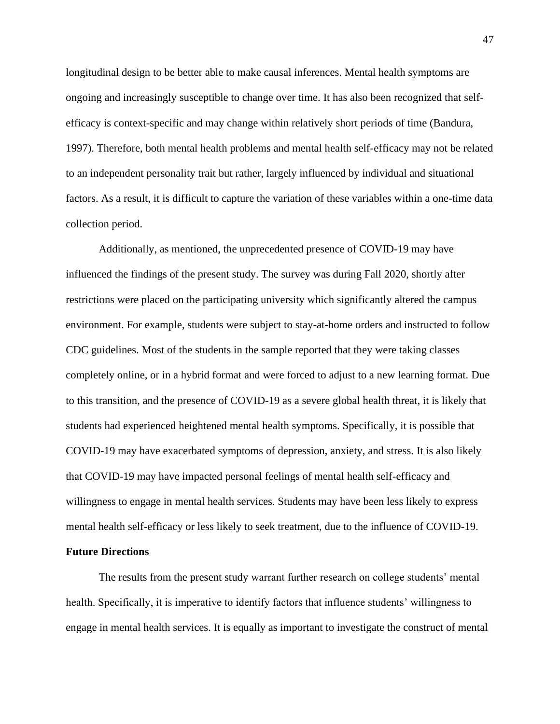longitudinal design to be better able to make causal inferences. Mental health symptoms are ongoing and increasingly susceptible to change over time. It has also been recognized that selfefficacy is context-specific and may change within relatively short periods of time (Bandura, 1997). Therefore, both mental health problems and mental health self-efficacy may not be related to an independent personality trait but rather, largely influenced by individual and situational factors. As a result, it is difficult to capture the variation of these variables within a one-time data collection period.

Additionally, as mentioned, the unprecedented presence of COVID-19 may have influenced the findings of the present study. The survey was during Fall 2020, shortly after restrictions were placed on the participating university which significantly altered the campus environment. For example, students were subject to stay-at-home orders and instructed to follow CDC guidelines. Most of the students in the sample reported that they were taking classes completely online, or in a hybrid format and were forced to adjust to a new learning format. Due to this transition, and the presence of COVID-19 as a severe global health threat, it is likely that students had experienced heightened mental health symptoms. Specifically, it is possible that COVID-19 may have exacerbated symptoms of depression, anxiety, and stress. It is also likely that COVID-19 may have impacted personal feelings of mental health self-efficacy and willingness to engage in mental health services. Students may have been less likely to express mental health self-efficacy or less likely to seek treatment, due to the influence of COVID-19.

#### <span id="page-47-0"></span>**Future Directions**

The results from the present study warrant further research on college students' mental health. Specifically, it is imperative to identify factors that influence students' willingness to engage in mental health services. It is equally as important to investigate the construct of mental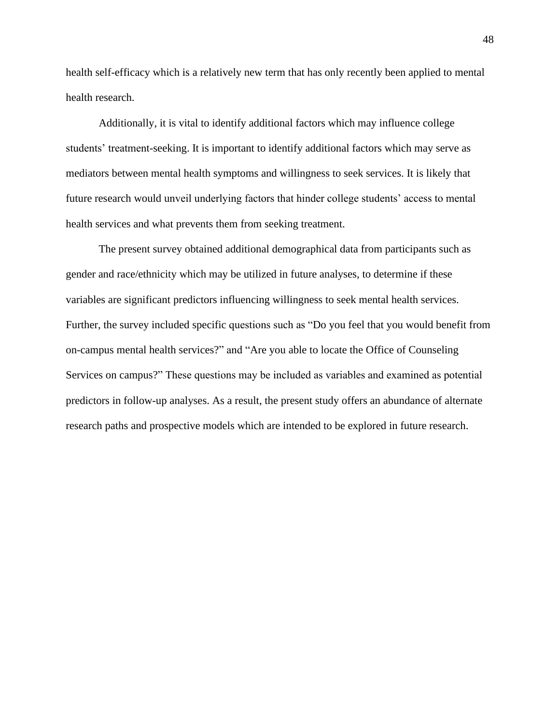health self-efficacy which is a relatively new term that has only recently been applied to mental health research.

Additionally, it is vital to identify additional factors which may influence college students' treatment-seeking. It is important to identify additional factors which may serve as mediators between mental health symptoms and willingness to seek services. It is likely that future research would unveil underlying factors that hinder college students' access to mental health services and what prevents them from seeking treatment.

The present survey obtained additional demographical data from participants such as gender and race/ethnicity which may be utilized in future analyses, to determine if these variables are significant predictors influencing willingness to seek mental health services. Further, the survey included specific questions such as "Do you feel that you would benefit from on-campus mental health services?" and "Are you able to locate the Office of Counseling Services on campus?" These questions may be included as variables and examined as potential predictors in follow-up analyses. As a result, the present study offers an abundance of alternate research paths and prospective models which are intended to be explored in future research.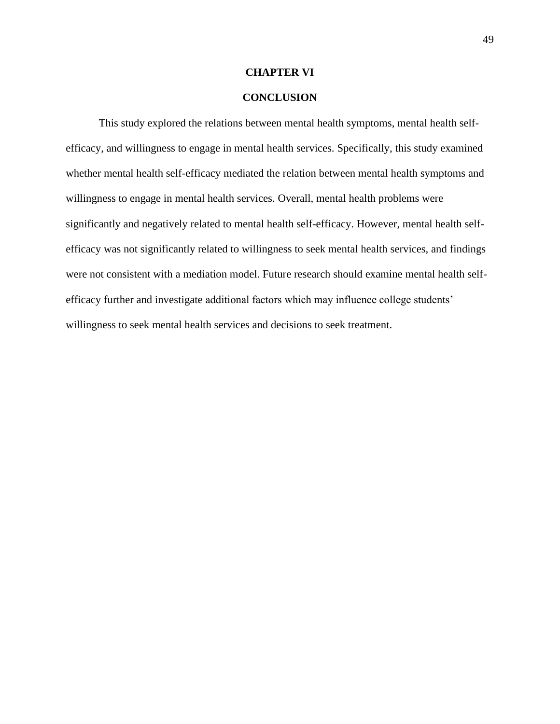#### **CHAPTER VI**

## **CONCLUSION**

<span id="page-49-0"></span>This study explored the relations between mental health symptoms, mental health selfefficacy, and willingness to engage in mental health services. Specifically, this study examined whether mental health self-efficacy mediated the relation between mental health symptoms and willingness to engage in mental health services. Overall, mental health problems were significantly and negatively related to mental health self-efficacy. However, mental health selfefficacy was not significantly related to willingness to seek mental health services, and findings were not consistent with a mediation model. Future research should examine mental health selfefficacy further and investigate additional factors which may influence college students' willingness to seek mental health services and decisions to seek treatment.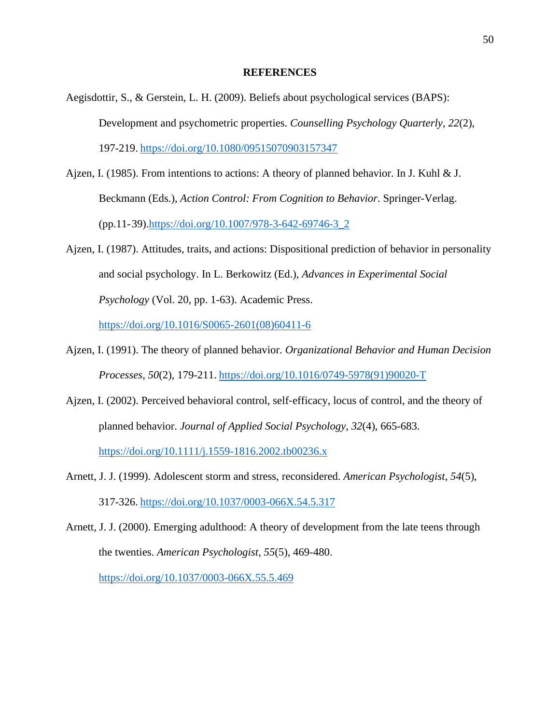#### **REFERENCES**

- <span id="page-50-0"></span>Aegisdottir, S., & Gerstein, L. H. (2009). Beliefs about psychological services (BAPS): Development and psychometric properties. *Counselling Psychology Quarterly*, *22*(2), 197-219. <https://doi.org/10.1080/09515070903157347>
- Ajzen, I. (1985). From intentions to actions: A theory of planned behavior. In J. Kuhl & J. Beckmann (Eds.), *Action Control: From Cognition to Behavior*. Springer-Verlag. (pp.11-39)[.https://doi.org/10.1007/978-3-642-69746-3\\_2](https://doi.org/10.1007/978-3-642-69746-3_2)
- Ajzen, I. (1987). Attitudes, traits, and actions: Dispositional prediction of behavior in personality and social psychology. In L. Berkowitz (Ed.), *Advances in Experimental Social Psychology* (Vol. 20, pp. 1-63). Academic Press.

[https://doi.org/10.1016/S0065-2601\(08\)60411-6](https://doi.org/10.1016/S0065-2601(08)60411-6)

- Ajzen, I. (1991). The theory of planned behavior. *Organizational Behavior and Human Decision Processes*, *50*(2), 179-211. [https://doi.org/10.1016/0749-5978\(91\)90020-T](https://doi.org/10.1016/0749-5978(91)90020-T)
- Ajzen, I. (2002). Perceived behavioral control, self-efficacy, locus of control, and the theory of planned behavior. *Journal of Applied Social Psychology*, *32*(4), 665-683. <https://doi.org/10.1111/j.1559-1816.2002.tb00236.x>
- Arnett, J. J. (1999). Adolescent storm and stress, reconsidered. *American Psychologist*, *54*(5), 317-326. <https://doi.org/10.1037/0003-066X.54.5.317>
- Arnett, J. J. (2000). Emerging adulthood: A theory of development from the late teens through the twenties. *American Psychologist*, *55*(5), 469-480. <https://doi.org/10.1037/0003-066X.55.5.469>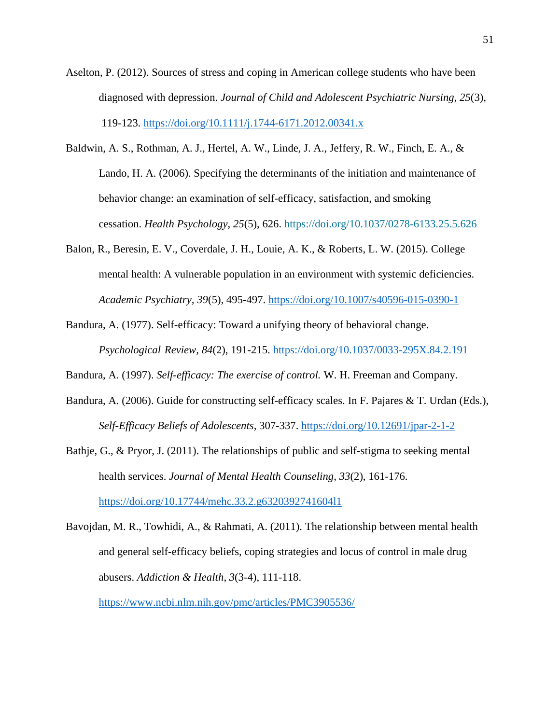- Aselton, P. (2012). Sources of stress and coping in American college students who have been diagnosed with depression. *Journal of Child and Adolescent Psychiatric Nursing*, *25*(3), 119-123.<https://doi.org/10.1111/j.1744-6171.2012.00341.x>
- Baldwin, A. S., Rothman, A. J., Hertel, A. W., Linde, J. A., Jeffery, R. W., Finch, E. A., & Lando, H. A. (2006). Specifying the determinants of the initiation and maintenance of behavior change: an examination of self-efficacy, satisfaction, and smoking cessation. *Health Psychology*, *25*(5), 626.<https://doi.org/10.1037/0278-6133.25.5.626>
- Balon, R., Beresin, E. V., Coverdale, J. H., Louie, A. K., & Roberts, L. W. (2015). College mental health: A vulnerable population in an environment with systemic deficiencies. *Academic Psychiatry, 39*(5), 495-497.<https://doi.org/10.1007/s40596-015-0390-1>
- Bandura, A. (1977). Self-efficacy: Toward a unifying theory of behavioral change. *Psychological Review, 84*(2), 191-215.<https://doi.org/10.1037/0033-295X.84.2.191>
- Bandura, A. (1997). *Self-efficacy: The exercise of control.* W. H. Freeman and Company.
- Bandura, A. (2006). Guide for constructing self-efficacy scales. In F. Pajares & T. Urdan (Eds.), *Self-Efficacy Beliefs of Adolescents,* 307-337.<https://doi.org/10.12691/jpar-2-1-2>
- Bathje, G., & Pryor, J. (2011). The relationships of public and self-stigma to seeking mental health services. *Journal of Mental Health Counseling*, *33*(2), 161-176. <https://doi.org/10.17744/mehc.33.2.g6320392741604l1>
- Bavojdan, M. R., Towhidi, A., & Rahmati, A. (2011). The relationship between mental health and general self-efficacy beliefs, coping strategies and locus of control in male drug abusers. *Addiction & Health*, *3*(3-4), 111-118.

<https://www.ncbi.nlm.nih.gov/pmc/articles/PMC3905536/>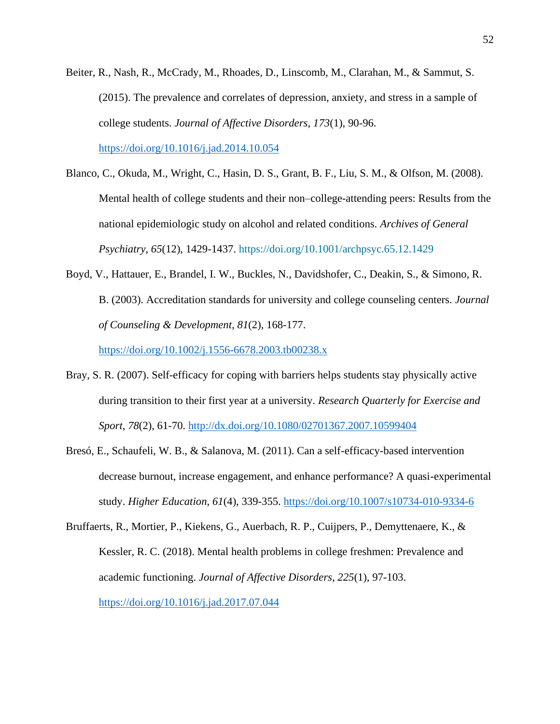Beiter, R., Nash, R., McCrady, M., Rhoades, D., Linscomb, M., Clarahan, M., & Sammut, S. (2015). The prevalence and correlates of depression, anxiety, and stress in a sample of college students. *Journal of Affective Disorders*, *173*(1), 90-96.

<https://doi.org/10.1016/j.jad.2014.10.054>

- Blanco, C., Okuda, M., Wright, C., Hasin, D. S., Grant, B. F., Liu, S. M., & Olfson, M. (2008). Mental health of college students and their non–college-attending peers: Results from the national epidemiologic study on alcohol and related conditions. *Archives of General Psychiatry*, *65*(12), 1429-1437.<https://doi.org/10.1001/archpsyc.65.12.1429>
- Boyd, V., Hattauer, E., Brandel, I. W., Buckles, N., Davidshofer, C., Deakin, S., & Simono, R. B. (2003). Accreditation standards for university and college counseling centers. *Journal of Counseling & Development*, *81*(2), 168-177.

<https://doi.org/10.1002/j.1556-6678.2003.tb00238.x>

- Bray, S. R. (2007). Self-efficacy for coping with barriers helps students stay physically active during transition to their first year at a university. *Research Quarterly for Exercise and Sport*, *78*(2), 61-70.<http://dx.doi.org/10.1080/02701367.2007.10599404>
- Bresó, E., Schaufeli, W. B., & Salanova, M. (2011). Can a self-efficacy-based intervention decrease burnout, increase engagement, and enhance performance? A quasi-experimental study. *Higher Education*, *61*(4), 339-355.<https://doi.org/10.1007/s10734-010-9334-6>
- Bruffaerts, R., Mortier, P., Kiekens, G., Auerbach, R. P., Cuijpers, P., Demyttenaere, K., & Kessler, R. C. (2018). Mental health problems in college freshmen: Prevalence and academic functioning. *Journal of Affective Disorders*, *225*(1), 97-103. <https://doi.org/10.1016/j.jad.2017.07.044>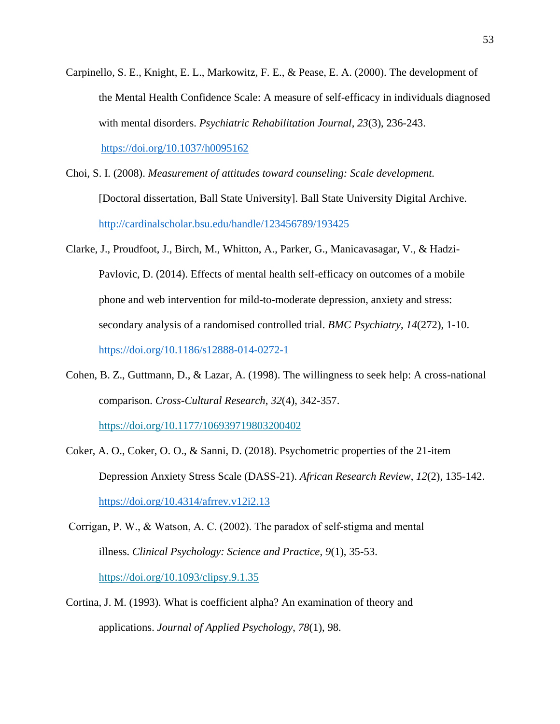- Carpinello, S. E., Knight, E. L., Markowitz, F. E., & Pease, E. A. (2000). The development of the Mental Health Confidence Scale: A measure of self-efficacy in individuals diagnosed with mental disorders. *Psychiatric Rehabilitation Journal*, *23*(3), 236-243. <https://doi.org/10.1037/h0095162>
- Choi, S. I. (2008). *Measurement of attitudes toward counseling: Scale development.* [Doctoral dissertation, Ball State University]. Ball State University Digital Archive. <http://cardinalscholar.bsu.edu/handle/123456789/193425>
- Clarke, J., Proudfoot, J., Birch, M., Whitton, A., Parker, G., Manicavasagar, V., & Hadzi-Pavlovic, D. (2014). Effects of mental health self-efficacy on outcomes of a mobile phone and web intervention for mild-to-moderate depression, anxiety and stress: secondary analysis of a randomised controlled trial. *BMC Psychiatry*, *14*(272), 1-10. <https://doi.org/10.1186/s12888-014-0272-1>
- Cohen, B. Z., Guttmann, D., & Lazar, A. (1998). The willingness to seek help: A cross-national comparison. *Cross-Cultural Research*, *32*(4), 342-357.

<https://doi.org/10.1177/106939719803200402>

- Coker, A. O., Coker, O. O., & Sanni, D. (2018). Psychometric properties of the 21-item Depression Anxiety Stress Scale (DASS-21). *African Research Review*, *12*(2), 135-142. <https://doi.org/10.4314/afrrev.v12i2.13>
- Corrigan, P. W., & Watson, A. C. (2002). The paradox of self‐stigma and mental illness. *Clinical Psychology: Science and Practice*, *9*(1), 35-53. <https://doi.org/10.1093/clipsy.9.1.35>
- Cortina, J. M. (1993). What is coefficient alpha? An examination of theory and applications. *Journal of Applied Psychology*, *78*(1), 98.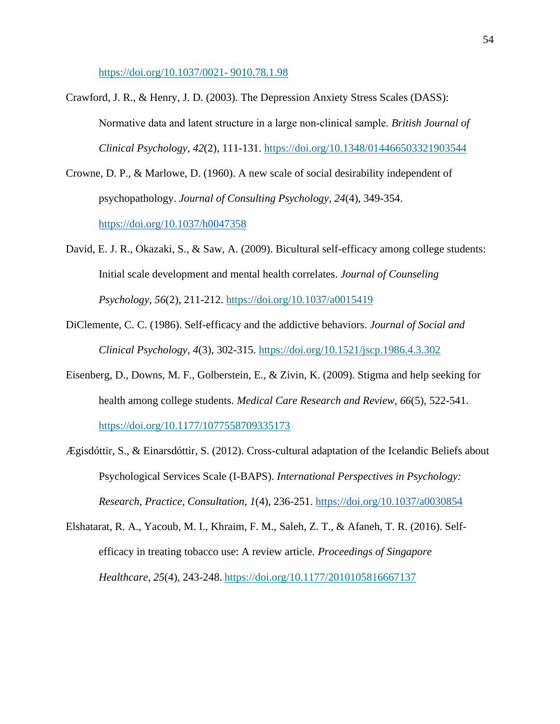[https://doi.org/10.1037/0021-](https://doi.org/10.1037/0021-%099010.78.1.98) 9010.78.1.98

- Crawford, J. R., & Henry, J. D. (2003). The Depression Anxiety Stress Scales (DASS): Normative data and latent structure in a large non‐clinical sample. *British Journal of Clinical Psychology*, *42*(2), 111-131.<https://doi.org/10.1348/014466503321903544>
- Crowne, D. P., & Marlowe, D. (1960). A new scale of social desirability independent of psychopathology. *Journal of Consulting Psychology*, *24*(4), 349-354. <https://doi.org/10.1037/h0047358>
- David, E. J. R., Okazaki, S., & Saw, A. (2009). Bicultural self-efficacy among college students: Initial scale development and mental health correlates. *Journal of Counseling Psychology*, *56*(2), 211-212.<https://doi.org/10.1037/a0015419>
- DiClemente, C. C. (1986). Self-efficacy and the addictive behaviors. *Journal of Social and Clinical Psychology*, *4*(3), 302-315.<https://doi.org/10.1521/jscp.1986.4.3.302>
- Eisenberg, D., Downs, M. F., Golberstein, E., & Zivin, K. (2009). Stigma and help seeking for health among college students. *Medical Care Research and Review*, *66*(5), 522-541. <https://doi.org/10.1177/1077558709335173>
- Ægisdóttir, S., & Einarsdóttir, S. (2012). Cross-cultural adaptation of the Icelandic Beliefs about Psychological Services Scale (I-BAPS). *International Perspectives in Psychology: Research, Practice, Consultation*, *1*(4), 236-251.<https://doi.org/10.1037/a0030854>
- Elshatarat, R. A., Yacoub, M. I., Khraim, F. M., Saleh, Z. T., & Afaneh, T. R. (2016). Selfefficacy in treating tobacco use: A review article. *Proceedings of Singapore Healthcare*, *25*(4), 243-248. <https://doi.org/10.1177/2010105816667137>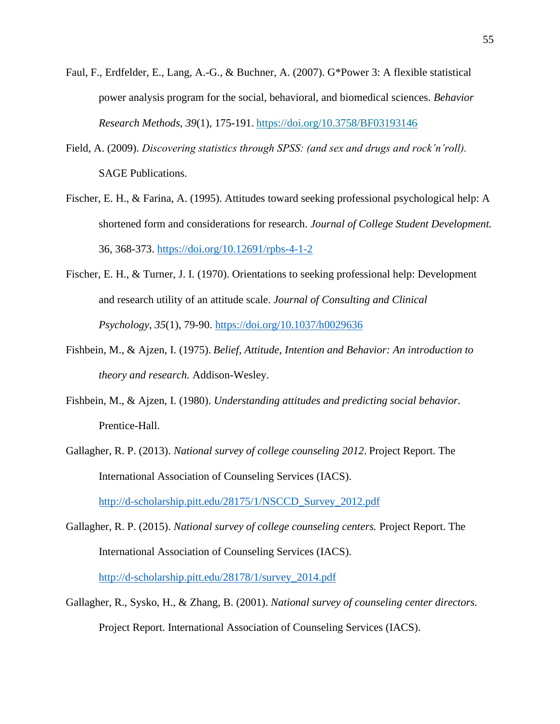- Faul, F., Erdfelder, E., Lang, A.-G., & Buchner, A. (2007). G\*Power 3: A flexible statistical power analysis program for the social, behavioral, and biomedical sciences. *Behavior Research Methods*, *39*(1), 175-191. <https://doi.org/10.3758/BF03193146>
- Field, A. (2009). *Discovering statistics through SPSS: (and sex and drugs and rock'n'roll).* SAGE Publications.
- Fischer, E. H., & Farina, A. (1995). Attitudes toward seeking professional psychological help: A shortened form and considerations for research. *Journal of College Student Development.* 36, 368-373.<https://doi.org/10.12691/rpbs-4-1-2>
- Fischer, E. H., & Turner, J. I. (1970). Orientations to seeking professional help: Development and research utility of an attitude scale. *Journal of Consulting and Clinical Psychology*, *35*(1), 79-90.<https://doi.org/10.1037/h0029636>
- Fishbein, M., & Ajzen, I. (1975). *Belief, Attitude, Intention and Behavior: An introduction to theory and research.* Addison-Wesley.
- Fishbein, M., & Ajzen, I. (1980). *Understanding attitudes and predicting social behavior.* Prentice-Hall.
- Gallagher, R. P. (2013). *National survey of college counseling 2012*. Project Report. The International Association of Counseling Services (IACS).

[http://d-scholarship.pitt.edu/28175/1/NSCCD\\_Survey\\_2012.pdf](http://d-scholarship.pitt.edu/28175/1/NSCCD_Survey_2012.pdf)

Gallagher, R. P. (2015). *National survey of college counseling centers.* Project Report. The International Association of Counseling Services (IACS).

[http://d-scholarship.pitt.edu/28178/1/survey\\_2014.pdf](http://d-scholarship.pitt.edu/28178/1/survey_2014.pdf)

Gallagher, R., Sysko, H., & Zhang, B. (2001). *National survey of counseling center directors.* Project Report. International Association of Counseling Services (IACS).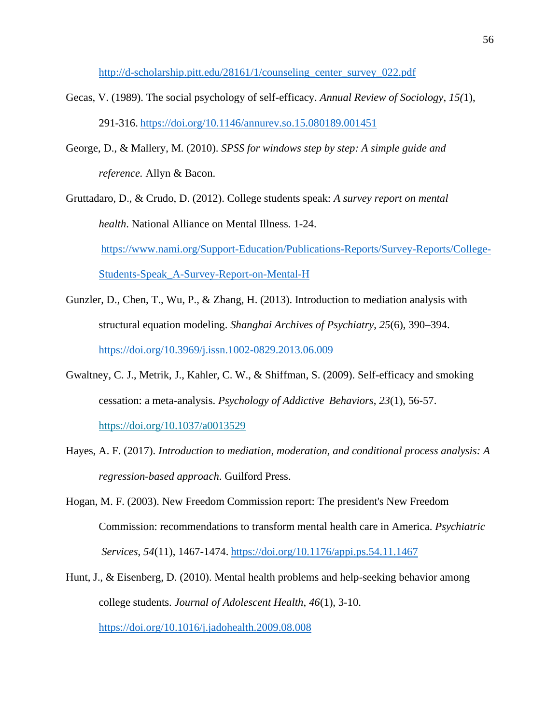[http://d-scholarship.pitt.edu/28161/1/counseling\\_center\\_survey\\_022.pdf](http://d-scholarship.pitt.edu/28161/1/counseling_center_survey_022.pdf)

- Gecas, V. (1989). The social psychology of self-efficacy. *Annual Review of Sociology*, *15(*1), 291-316. <https://doi.org/10.1146/annurev.so.15.080189.001451>
- George, D., & Mallery, M. (2010). *SPSS for windows step by step: A simple guide and reference.* Allyn & Bacon.
- Gruttadaro, D., & Crudo, D. (2012). College students speak: *A survey report on mental health*. National Alliance on Mental Illness*.* 1-24. [https://www.nami.org/Support-Education/Publications-Reports/Survey-Reports/College-](https://www.nami.org/Support-Education/Publications-Reports/Survey-Reports/College-%09Students-Speak_A-Survey-Report-on-Mental-H)[Students-Speak\\_A-Survey-Report-on-Mental-H](https://www.nami.org/Support-Education/Publications-Reports/Survey-Reports/College-%09Students-Speak_A-Survey-Report-on-Mental-H)
- Gunzler, D., Chen, T., Wu, P., & Zhang, H. (2013). Introduction to mediation analysis with structural equation modeling. *Shanghai Archives of Psychiatry*, *25*(6), 390–394. <https://doi.org/10.3969/j.issn.1002-0829.2013.06.009>
- Gwaltney, C. J., Metrik, J., Kahler, C. W., & Shiffman, S. (2009). Self-efficacy and smoking cessation: a meta-analysis. *Psychology of Addictive Behaviors*, *23*(1), 56-57. <https://doi.org/10.1037/a0013529>
- Hayes, A. F. (2017). *Introduction to mediation, moderation, and conditional process analysis: A regression-based approach*. Guilford Press.
- Hogan, M. F. (2003). New Freedom Commission report: The president's New Freedom Commission: recommendations to transform mental health care in America. *Psychiatric Services*, *54*(11), 1467-1474. <https://doi.org/10.1176/appi.ps.54.11.1467>
- Hunt, J., & Eisenberg, D. (2010). Mental health problems and help-seeking behavior among college students. *Journal of Adolescent Health*, *46*(1), 3-10. <https://doi.org/10.1016/j.jadohealth.2009.08.008>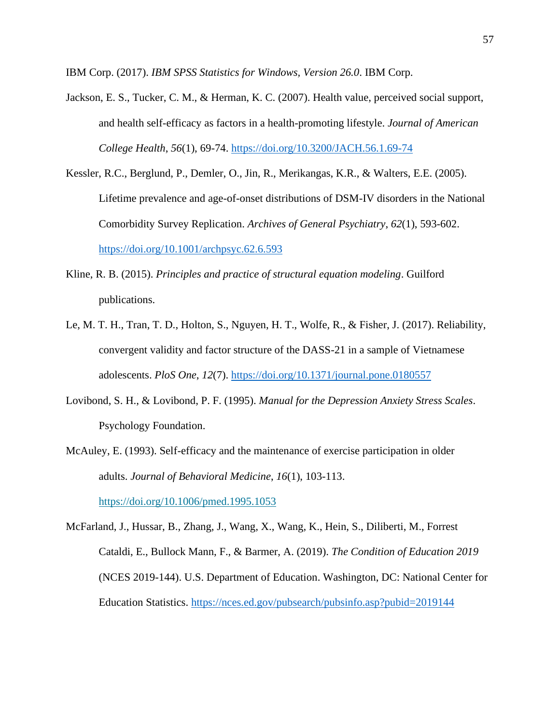IBM Corp. (2017). *IBM SPSS Statistics for Windows, Version 26.0*. IBM Corp.

- Jackson, E. S., Tucker, C. M., & Herman, K. C. (2007). Health value, perceived social support, and health self-efficacy as factors in a health-promoting lifestyle. *Journal of American College Health*, *56*(1), 69-74.<https://doi.org/10.3200/JACH.56.1.69-74>
- Kessler, R.C., Berglund, P., Demler, O., Jin, R., Merikangas, K.R., & Walters, E.E. (2005). Lifetime prevalence and age-of-onset distributions of DSM-IV disorders in the National Comorbidity Survey Replication. *Archives of General Psychiatry*, *62*(1), 593-602. <https://doi.org/10.1001/archpsyc.62.6.593>
- Kline, R. B. (2015). *Principles and practice of structural equation modeling*. Guilford publications.
- Le, M. T. H., Tran, T. D., Holton, S., Nguyen, H. T., Wolfe, R., & Fisher, J. (2017). Reliability, convergent validity and factor structure of the DASS-21 in a sample of Vietnamese adolescents. *PloS One*, *12*(7).<https://doi.org/10.1371/journal.pone.0180557>
- Lovibond, S. H., & Lovibond, P. F. (1995). *Manual for the Depression Anxiety Stress Scales*. Psychology Foundation.
- McAuley, E. (1993). Self-efficacy and the maintenance of exercise participation in older adults. *Journal of Behavioral Medicine*, *16*(1), 103-113.

<https://doi.org/10.1006/pmed.1995.1053>

McFarland, J., Hussar, B., Zhang, J., Wang, X., Wang, K., Hein, S., Diliberti, M., Forrest Cataldi, E., Bullock Mann, F., & Barmer, A. (2019). *The Condition of Education 2019* (NCES 2019-144). U.S. Department of Education. Washington, DC: National Center for Education Statistics.<https://nces.ed.gov/pubsearch/pubsinfo.asp?pubid=2019144>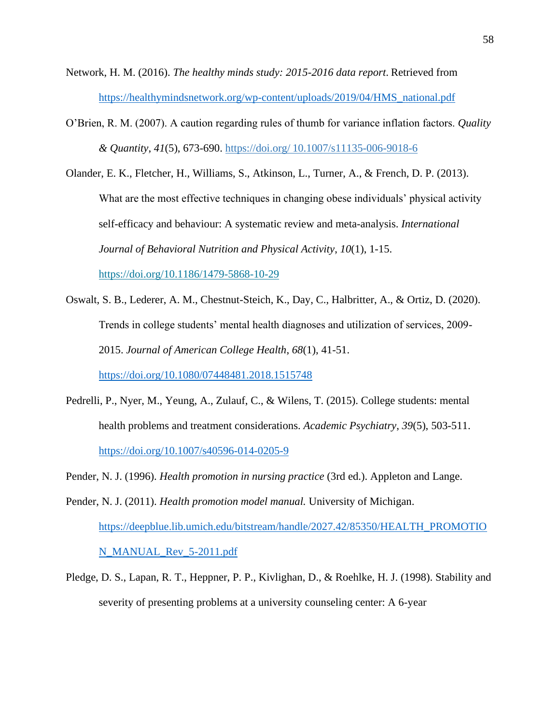- Network, H. M. (2016). *The healthy minds study: 2015-2016 data report*. Retrieved from [https://healthymindsnetwork.org/wp-content/uploads/2019/04/HMS\\_national.pdf](https://healthymindsnetwork.org/wp-content/uploads/2019/04/HMS_national.pdf)
- O'Brien, R. M. (2007). A caution regarding rules of thumb for variance inflation factors. *Quality & Quantity*, *41*(5), 673-690. https://doi.org/ 10.1007/s11135-006-9018-6
- Olander, E. K., Fletcher, H., Williams, S., Atkinson, L., Turner, A., & French, D. P. (2013). What are the most effective techniques in changing obese individuals' physical activity self-efficacy and behaviour: A systematic review and meta-analysis. *International Journal of Behavioral Nutrition and Physical Activity*, *10*(1), 1-15. <https://doi.org/10.1186/1479-5868-10-29>
- Oswalt, S. B., Lederer, A. M., Chestnut-Steich, K., Day, C., Halbritter, A., & Ortiz, D. (2020). Trends in college students' mental health diagnoses and utilization of services, 2009- 2015. *Journal of American College Health*, *68*(1), 41-51.

<https://doi.org/10.1080/07448481.2018.1515748>

- Pedrelli, P., Nyer, M., Yeung, A., Zulauf, C., & Wilens, T. (2015). College students: mental health problems and treatment considerations. *Academic Psychiatry*, *39*(5), 503-511. <https://doi.org/10.1007/s40596-014-0205-9>
- Pender, N. J. (1996). *Health promotion in nursing practice* (3rd ed.). Appleton and Lange.

Pender, N. J. (2011). *Health promotion model manual.* University of Michigan. [https://deepblue.lib.umich.edu/bitstream/handle/2027.42/85350/HEALTH\\_PROMOTIO](https://deepblue.lib.umich.edu/bitstream/handle/2027.42/85350/HEALTH_PROMOTIO%09N_MANUAL_Rev_5-2011.pdf) [N\\_MANUAL\\_Rev\\_5-2011.pdf](https://deepblue.lib.umich.edu/bitstream/handle/2027.42/85350/HEALTH_PROMOTIO%09N_MANUAL_Rev_5-2011.pdf)

Pledge, D. S., Lapan, R. T., Heppner, P. P., Kivlighan, D., & Roehlke, H. J. (1998). Stability and severity of presenting problems at a university counseling center: A 6-year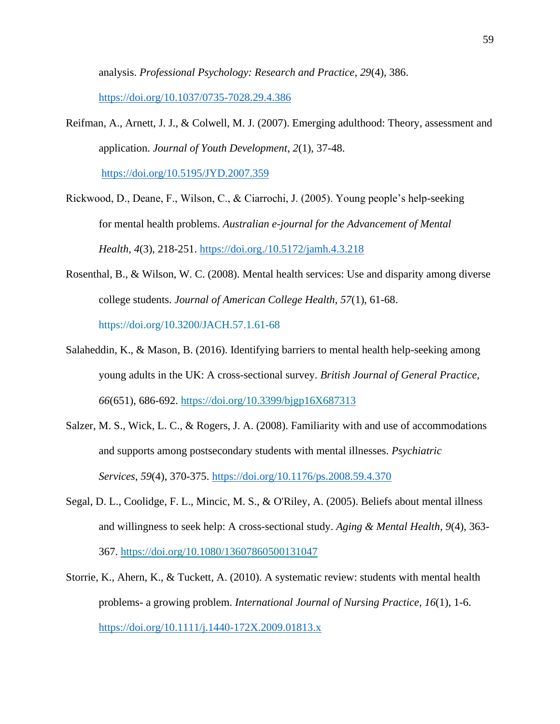analysis. *Professional Psychology: Research and Practice*, *29*(4), 386. <https://doi.org/10.1037/0735-7028.29.4.386>

Reifman, A., Arnett, J. J., & Colwell, M. J. (2007). Emerging adulthood: Theory, assessment and application. *Journal of Youth Development*, *2*(1), 37-48.

<https://doi.org/10.5195/JYD.2007.359>

- Rickwood, D., Deane, F., Wilson, C., & Ciarrochi, J. (2005). Young people's help-seeking for mental health problems. *Australian e-journal for the Advancement of Mental Health*, *4*(3), 218-251.<https://doi.org./10.5172/jamh.4.3.218>
- Rosenthal, B., & Wilson, W. C. (2008). Mental health services: Use and disparity among diverse college students. *Journal of American College Health*, *57*(1), 61-68. <https://doi.org/10.3200/JACH.57.1.61-68>
- Salaheddin, K., & Mason, B. (2016). Identifying barriers to mental health help-seeking among young adults in the UK: A cross-sectional survey. *British Journal of General Practice, 66*(651), 686-692.<https://doi.org/10.3399/bjgp16X687313>
- Salzer, M. S., Wick, L. C., & Rogers, J. A. (2008). Familiarity with and use of accommodations and supports among postsecondary students with mental illnesses. *Psychiatric Services*, *59*(4), 370-375.<https://doi.org/10.1176/ps.2008.59.4.370>
- Segal, D. L., Coolidge, F. L., Mincic, M. S., & O'Riley, A. (2005). Beliefs about mental illness and willingness to seek help: A cross-sectional study. *Aging & Mental Health*, *9*(4), 363- 367.<https://doi.org/10.1080/13607860500131047>
- Storrie, K., Ahern, K., & Tuckett, A. (2010). A systematic review: students with mental health problems- a growing problem. *International Journal of Nursing Practice*, *16*(1), 1-6. <https://doi.org/10.1111/j.1440-172X.2009.01813.x>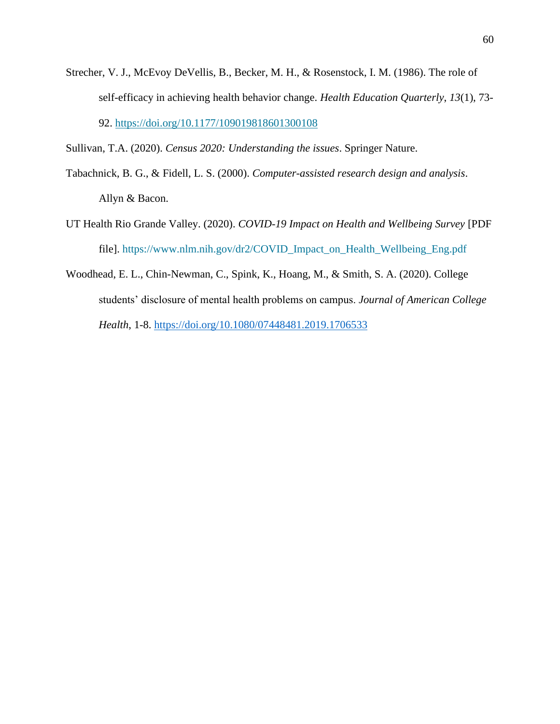Strecher, V. J., McEvoy DeVellis, B., Becker, M. H., & Rosenstock, I. M. (1986). The role of self-efficacy in achieving health behavior change. *Health Education Quarterly*, *13*(1), 73- 92. [https://doi.org/10.1177/109019818601300108](https://doi.org/10.1177%2F109019818601300108)

Sullivan, T.A. (2020). *Census 2020: Understanding the issues*. Springer Nature.

- Tabachnick, B. G., & Fidell, L. S. (2000). *Computer-assisted research design and analysis*. Allyn & Bacon.
- UT Health Rio Grande Valley. (2020). *COVID-19 Impact on Health and Wellbeing Survey* [PDF file]. [https://www.nlm.nih.gov/dr2/COVID\\_Impact\\_on\\_Health\\_Wellbeing\\_Eng.pdf](https://www.nlm.nih.gov/dr2/COVID_Impact_on_Health_Wellbeing_Eng.pdf)
- Woodhead, E. L., Chin-Newman, C., Spink, K., Hoang, M., & Smith, S. A. (2020). College students' disclosure of mental health problems on campus. *Journal of American College Health*, 1-8.<https://doi.org/10.1080/07448481.2019.1706533>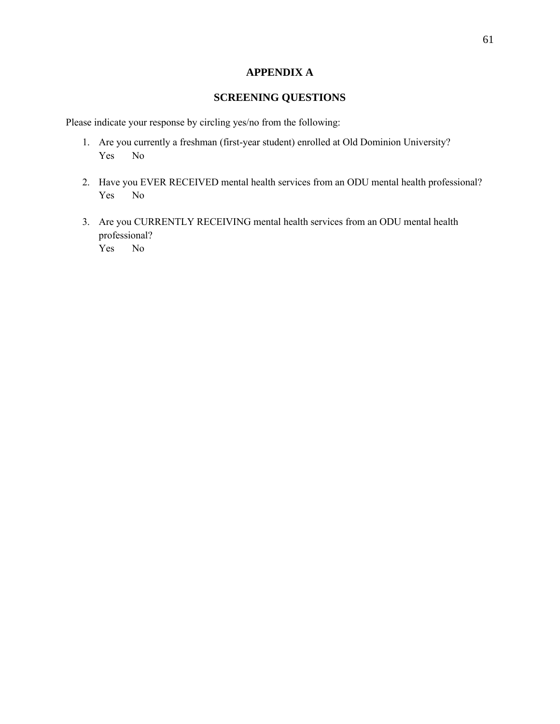# **APPENDIX A**

# **SCREENING QUESTIONS**

Please indicate your response by circling yes/no from the following:

- 1. Are you currently a freshman (first-year student) enrolled at Old Dominion University? Yes No
- 2. Have you EVER RECEIVED mental health services from an ODU mental health professional? Yes No
- 3. Are you CURRENTLY RECEIVING mental health services from an ODU mental health professional?

Yes No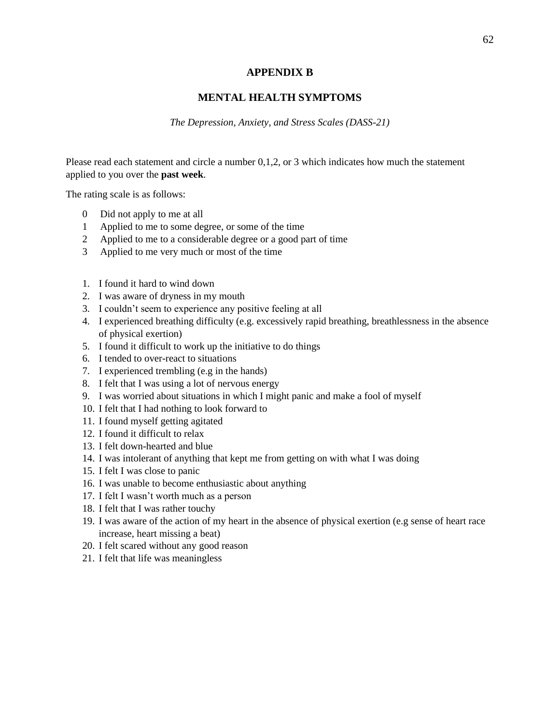#### **APPENDIX B**

# **MENTAL HEALTH SYMPTOMS**

*The Depression, Anxiety, and Stress Scales (DASS-21)*

Please read each statement and circle a number 0,1,2, or 3 which indicates how much the statement applied to you over the **past week**.

The rating scale is as follows:

- 0 Did not apply to me at all
- 1 Applied to me to some degree, or some of the time
- 2 Applied to me to a considerable degree or a good part of time
- 3 Applied to me very much or most of the time
- 1. I found it hard to wind down
- 2. I was aware of dryness in my mouth
- 3. I couldn't seem to experience any positive feeling at all
- 4. I experienced breathing difficulty (e.g. excessively rapid breathing, breathlessness in the absence of physical exertion)
- 5. I found it difficult to work up the initiative to do things
- 6. I tended to over-react to situations
- 7. I experienced trembling (e.g in the hands)
- 8. I felt that I was using a lot of nervous energy
- 9. I was worried about situations in which I might panic and make a fool of myself
- 10. I felt that I had nothing to look forward to
- 11. I found myself getting agitated
- 12. I found it difficult to relax
- 13. I felt down-hearted and blue
- 14. I was intolerant of anything that kept me from getting on with what I was doing
- 15. I felt I was close to panic
- 16. I was unable to become enthusiastic about anything
- 17. I felt I wasn't worth much as a person
- 18. I felt that I was rather touchy
- 19. I was aware of the action of my heart in the absence of physical exertion (e.g sense of heart race increase, heart missing a beat)
- 20. I felt scared without any good reason
- 21. I felt that life was meaningless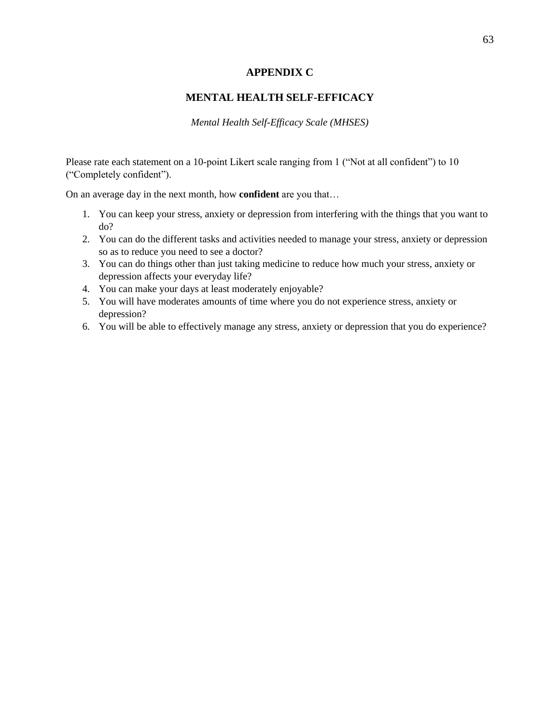## **APPENDIX C**

# **MENTAL HEALTH SELF-EFFICACY**

*Mental Health Self-Efficacy Scale (MHSES)*

Please rate each statement on a 10-point Likert scale ranging from 1 ("Not at all confident") to 10 ("Completely confident").

On an average day in the next month, how **confident** are you that…

- 1. You can keep your stress, anxiety or depression from interfering with the things that you want to do?
- 2. You can do the different tasks and activities needed to manage your stress, anxiety or depression so as to reduce you need to see a doctor?
- 3. You can do things other than just taking medicine to reduce how much your stress, anxiety or depression affects your everyday life?
- 4. You can make your days at least moderately enjoyable?
- 5. You will have moderates amounts of time where you do not experience stress, anxiety or depression?
- 6. You will be able to effectively manage any stress, anxiety or depression that you do experience?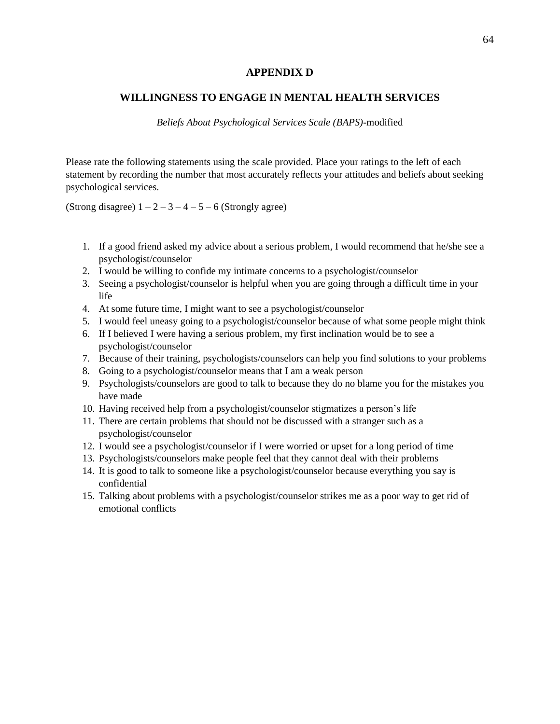#### **APPENDIX D**

#### **WILLINGNESS TO ENGAGE IN MENTAL HEALTH SERVICES**

*Beliefs About Psychological Services Scale (BAPS)-*modified

Please rate the following statements using the scale provided. Place your ratings to the left of each statement by recording the number that most accurately reflects your attitudes and beliefs about seeking psychological services.

(Strong disagree)  $1 - 2 - 3 - 4 - 5 - 6$  (Strongly agree)

- 1. If a good friend asked my advice about a serious problem, I would recommend that he/she see a psychologist/counselor
- 2. I would be willing to confide my intimate concerns to a psychologist/counselor
- 3. Seeing a psychologist/counselor is helpful when you are going through a difficult time in your life
- 4. At some future time, I might want to see a psychologist/counselor
- 5. I would feel uneasy going to a psychologist/counselor because of what some people might think
- 6. If I believed I were having a serious problem, my first inclination would be to see a psychologist/counselor
- 7. Because of their training, psychologists/counselors can help you find solutions to your problems
- 8. Going to a psychologist/counselor means that I am a weak person
- 9. Psychologists/counselors are good to talk to because they do no blame you for the mistakes you have made
- 10. Having received help from a psychologist/counselor stigmatizes a person's life
- 11. There are certain problems that should not be discussed with a stranger such as a psychologist/counselor
- 12. I would see a psychologist/counselor if I were worried or upset for a long period of time
- 13. Psychologists/counselors make people feel that they cannot deal with their problems
- 14. It is good to talk to someone like a psychologist/counselor because everything you say is confidential
- 15. Talking about problems with a psychologist/counselor strikes me as a poor way to get rid of emotional conflicts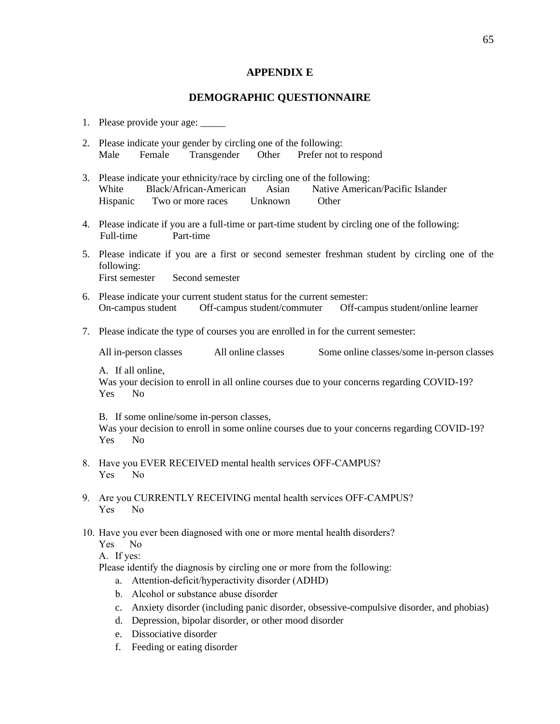#### **APPENDIX E**

#### **DEMOGRAPHIC QUESTIONNAIRE**

- 2. Please indicate your gender by circling one of the following: Male Female Transgender Other Prefer not to respond
- 3. Please indicate your ethnicity/race by circling one of the following: White Black/African-American Asian Native American/Pacific Islander Hispanic Two or more races Unknown Other
- 4. Please indicate if you are a full-time or part-time student by circling one of the following: Full-time Part-time
- 5. Please indicate if you are a first or second semester freshman student by circling one of the following: First semester Second semester
- 6. Please indicate your current student status for the current semester: On-campus student Off-campus student/commuter Off-campus student/online learner
- 7. Please indicate the type of courses you are enrolled in for the current semester:

All in-person classes All online classes Some online classes/some in-person classes

A. If all online,

Was your decision to enroll in all online courses due to your concerns regarding COVID-19? Yes No

B. If some online/some in-person classes,

Was your decision to enroll in some online courses due to your concerns regarding COVID-19? Yes No

- 8. Have you EVER RECEIVED mental health services OFF-CAMPUS? Yes No
- 9. Are you CURRENTLY RECEIVING mental health services OFF-CAMPUS? Yes No
- 10. Have you ever been diagnosed with one or more mental health disorders?

Yes No

A. If yes:

Please identify the diagnosis by circling one or more from the following:

- a. Attention-deficit/hyperactivity disorder (ADHD)
- b. Alcohol or substance abuse disorder
- c. [Anxiety](https://medlineplus.gov/anxiety.html) disorder (including panic [disorder,](https://medlineplus.gov/panicdisorder.html) [obsessive-compulsive](https://medlineplus.gov/obsessivecompulsivedisorder.html) disorder, and [phobias\)](https://medlineplus.gov/phobias.html)
- d. [Depression,](https://medlineplus.gov/depression.html) bipolar [disorder,](https://medlineplus.gov/bipolardisorder.html) or other [mood](https://medlineplus.gov/mooddisorders.html) disorder
- e. Dissociative disorder
- f. Feeding or eating disorder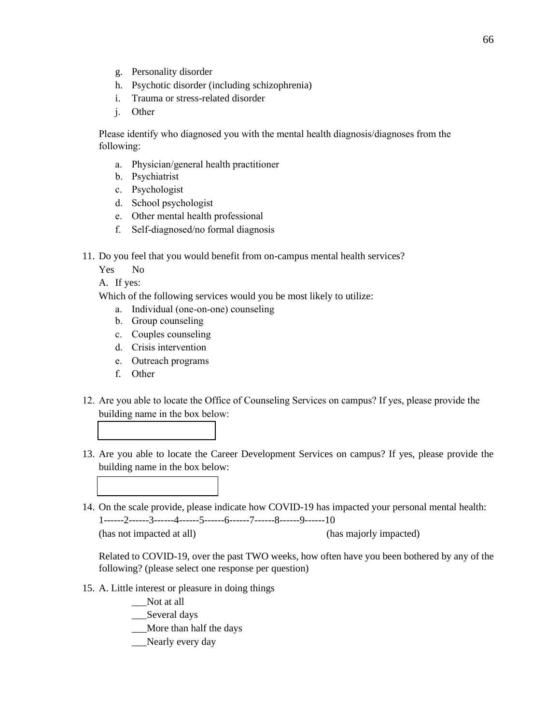- g. Personality disorder
- h. [Psychotic](https://medlineplus.gov/psychoticdisorders.html) disorder (including [schizophrenia\)](https://medlineplus.gov/schizophrenia.html)
- i. Trauma or stress-related disorder
- j. Other

Please identify who diagnosed you with the mental health diagnosis/diagnoses from the following:

- a. Physician/general health practitioner
- b. Psychiatrist
- c. Psychologist
- d. School psychologist
- e. Other mental health professional
- f. Self-diagnosed/no formal diagnosis
- 11. Do you feel that you would benefit from on-campus mental health services?
	- Yes No

A. If yes:

Which of the following services would you be most likely to utilize:

- a. Individual (one-on-one) counseling
- b. Group counseling
- c. Couples counseling
- d. Crisis intervention
- e. Outreach programs
- f. Other
- 12. Are you able to locate the Office of Counseling Services on campus? If yes, please provide the building name in the box below:
- 13. Are you able to locate the Career Development Services on campus? If yes, please provide the building name in the box below:
- 14. On the scale provide, please indicate how COVID-19 has impacted your personal mental health: 1------2------3------4------5------6------7------8------9------10 (has not impacted at all) (has majorly impacted)

Related to COVID-19, over the past TWO weeks, how often have you been bothered by any of the following? (please select one response per question)

15. A. Little interest or pleasure in doing things

\_\_\_Not at all

\_\_\_Several days

- \_\_\_More than half the days
- \_\_Nearly every day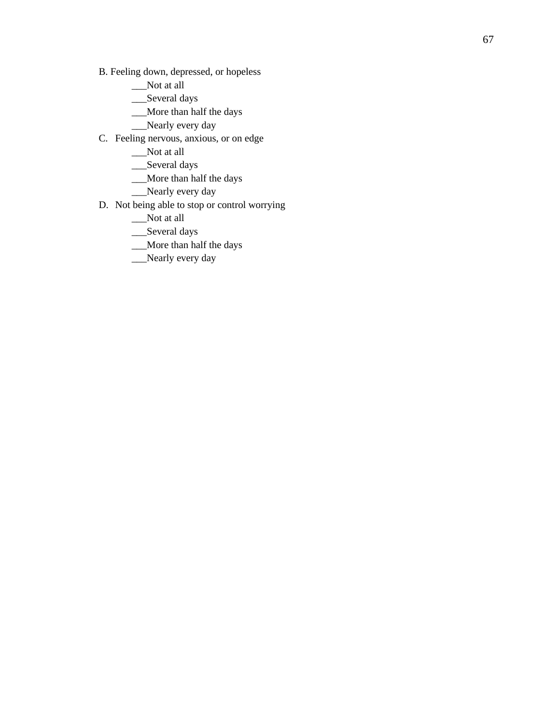- B. Feeling down, depressed , or hopeless
	- \_\_\_Not at all
	- \_\_Several days
	- \_\_\_More than half the days
	- \_\_\_Nearly every day
- C. Feeling nervous, anxious, or on edge
	- \_\_\_Not at all
	- \_\_\_Several days
	- \_\_\_More than half the days
	- \_\_\_Nearly every day
- D. Not being able to stop or control worrying
	- \_\_\_Not at all
	- \_\_\_Several days
	- \_\_\_More than half the days
	- \_\_\_Nearly every day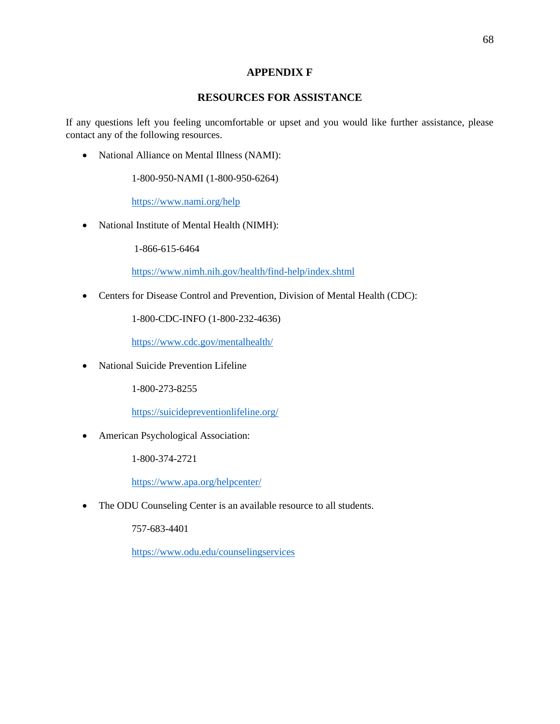## **APPENDIX F**

## **RESOURCES FOR ASSISTANCE**

If any questions left you feeling uncomfortable or upset and you would like further assistance, please contact any of the following resources.

• National Alliance on Mental Illness (NAMI):

1-800-950-NAMI (1-800-950-6264)

<https://www.nami.org/help>

• National Institute of Mental Health (NIMH):

1-866-615-6464

<https://www.nimh.nih.gov/health/find-help/index.shtml>

• Centers for Disease Control and Prevention, Division of Mental Health (CDC):

1-800-CDC-INFO (1-800-232-4636)

<https://www.cdc.gov/mentalhealth/>

• National Suicide Prevention Lifeline

1-800-273-8255

<https://suicidepreventionlifeline.org/>

• American Psychological Association:

1-800-374-2721

<https://www.apa.org/helpcenter/>

• The ODU Counseling Center is an available resource to all students.

757-683-4401

<https://www.odu.edu/counselingservices>